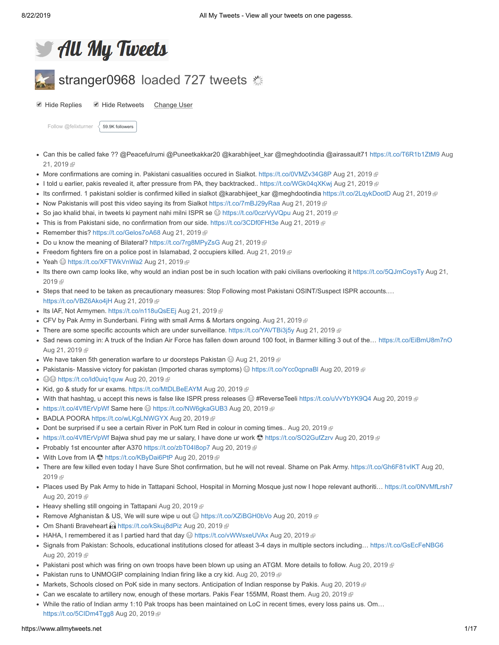

# stranger0968 loaded 727 tweets

■ Hide Replies ■ Hide Retweets Change User

[Follow @felixturner](https://twitter.com/intent/follow?original_referer=https%3A%2F%2Fwww.allmytweets.net%2F&ref_src=twsrc%5Etfw®ion=follow_link&screen_name=felixturner&tw_p=followbutton)  $\left.\right\langle\right.$  [59.9K followers](https://twitter.com/intent/user?original_referer=https%3A%2F%2Fwww.allmytweets.net%2F&ref_src=twsrc%5Etfw®ion=count_link&screen_name=felixturner&tw_p=followbutton)

- [Can this be called fake ?? @Peacefulrumi @Puneetkakkar20 @karabhijeet\\_kar @meghdootindia @airassault71 https://t.co/T6R1b1ZtM9](https://twitter.com/stranger0968/status/1164265148632260608) Aug 21, 2019
- More confirmations are coming in. Pakistani casualities occured in Sialkot. [https://t.co/0VMZv34G8P](http://t.co/0VMZv34G8P) [Aug 21, 2019](https://twitter.com/stranger0968/status/1164260717106737152) @
- I told u earlier, pakis revealed it, after pressure from PA, they backtracked.. [https://t.co/WGk04qXKwj](http://t.co/WGk04qXKwj) [Aug 21, 2019](https://twitter.com/stranger0968/status/1164259484434358272)
- Its confirmed. 1 pakistani soldier is confirmed killed in sialkot @karabhijeet\_kar @meghdootindia [https://t.co/2LqykDootD](http://t.co/2LqykDootD) [Aug 21, 2019](https://twitter.com/stranger0968/status/1164258106907475968) @
- Now Pakistanis will post this video saying its from Sialkot [https://t.co/7mBJ29yRaa](http://t.co/7mBJ29yRaa) [Aug 21, 2019](https://twitter.com/stranger0968/status/1164248221411086337)  $\mathbb P$
- So jao khalid bhai, in tweets ki payment nahi milni ISPR se  $\circledS$  [https://t.co/0czrVyVQpu](http://t.co/0czrVyVQpu) [Aug 21, 2019](https://twitter.com/stranger0968/status/1164243890897113088)  $\circledR$
- This is from Pakistani side, no confirmation from our side. [https://t.co/3CDf0FHt3e](http://t.co/3CDf0FHt3e) [Aug 21, 2019](https://twitter.com/stranger0968/status/1164235982176231426)
- Remember this? [https://t.co/Gelos7oA68](http://t.co/Gelos7oA68) [Aug 21, 2019](https://twitter.com/stranger0968/status/1164232972935061504) @
- Do u know the meaning of Bilateral? [https://t.co/7rg8MPyZsG](http://t.co/7rg8MPyZsG) [Aug 21, 2019](https://twitter.com/stranger0968/status/1164218068060557312) @
- Freedom fighters fire on a police post in Islamabad, 2 occupiers killed. [Aug 21, 2019](https://twitter.com/stranger0968/status/1164212959624622080)  $\mathbb P$
- Yeah S[https://t.co/XFTWkVnWa2](http://t.co/XFTWkVnWa2) [Aug 21, 2019](https://twitter.com/stranger0968/status/1164199512061153280) @
- [Its there own camp looks like, why would an indian post be in such location with paki civilians overlooking it https://t.co/5QJmCoysTy](https://twitter.com/stranger0968/status/1164179658948190216) Aug 21, 2019 图
- Steps that need to be taken as precautionary measures: Stop Following most Pakistani OSINT/Suspect ISPR accounts.… [https://t.co/VBZ6Ako4jH](http://t.co/VBZ6Ako4jH) [Aug 21, 2019](https://twitter.com/stranger0968/status/1164157222529589249)
- Its IAF, Not Armymen. [https://t.co/n118uQsEEj](http://t.co/n118uQsEEj) [Aug 21, 2019](https://twitter.com/stranger0968/status/1164143334115270656) @
- CFV by Pak Army in Sunderbani. Firing with small Arms & Mortars ongoing. [Aug 21, 2019](https://twitter.com/stranger0968/status/1164125975862534145)  $\mathbb P$
- There are some specific accounts which are under surveillance. [https://t.co/YAVTBi3j5y](http://t.co/YAVTBi3j5y) [Aug 21, 2019](https://twitter.com/stranger0968/status/1164095623035047937)  $\textcircled{\tiny{F}}$
- Sad news coming in: A truck of the Indian Air Force has fallen down around 100 foot, in Barmer killing 3 out of the... [https://t.co/EiBmU8m7nO](http://t.co/EiBmU8m7nO) [Aug 21, 2019](https://twitter.com/stranger0968/status/1164094826192756736) &
- We have taken 5th generation warfare to ur doorsteps Pakistan  $\odot$  [Aug 21, 2019](https://twitter.com/stranger0968/status/1164073207143550976)  $\mathbb P$
- Pakistanis- Massive victory for pakistan (Imported charas symptoms)  $\odot$  [https://t.co/Ycc0qpnaBl](http://t.co/Ycc0qpnaBl) [Aug 20, 2019](https://twitter.com/stranger0968/status/1163873380040417286)  $\circ$
- ©© [https://t.co/Id0uiq1quw](http://t.co/Id0uiq1quw) [Aug 20, 2019](https://twitter.com/stranger0968/status/1163870612395372546) @
- Kid, go & study for ur exams. [https://t.co/MtDLBeEAYM](http://t.co/MtDLBeEAYM) [Aug 20, 2019](https://twitter.com/stranger0968/status/1163869010926198784) @
- With that hashtag, u accept this news is false like ISPR press releases ☺ #ReverseTeeli [https://t.co/uVvYbYK9Q4](http://t.co/uVvYbYK9Q4) [Aug 20, 2019](https://twitter.com/stranger0968/status/1163863852716572674) @
- [https://t.co/4VfIErVpWf](http://t.co/4VfIErVpWf) Same here ⓒ [https://t.co/NW6gkaGUB3](http://t.co/NW6gkaGUB3) [Aug 20, 2019](https://twitter.com/stranger0968/status/1163855634766471169) @
- BADLA POORA [https://t.co/wLKgLNWGYX](http://t.co/wLKgLNWGYX) [Aug 20, 2019](https://twitter.com/stranger0968/status/1163845797965905921) @
- Dont be surprised if u see a certain River in PoK turn Red in colour in coming times.. [Aug 20, 2019](https://twitter.com/stranger0968/status/1163843820481593344)  $\mathbb P$
- [https://t.co/4VfIErVpWf](http://t.co/4VfIErVpWf) Bajwa shud pay me ur salary, I have done ur work © [https://t.co/SO2GufZzrv](http://t.co/SO2GufZzrv) [Aug 20, 2019](https://twitter.com/stranger0968/status/1163839647182667778) ®
- Probably 1st encounter after A370 [https://t.co/zbT04I8op7](http://t.co/zbT04I8op7) [Aug 20, 2019](https://twitter.com/stranger0968/status/1163824750474358784) @
- With Love from IA S[https://t.co/KByDai6PtP](http://t.co/KByDai6PtP) [Aug 20, 2019](https://twitter.com/stranger0968/status/1163813346753142784) @
- [There are few killed even today I have Sure Shot confirmation, but he will not reveal. Shame on Pak Army. https://t.co/Gh6F81vIKT](https://twitter.com/stranger0968/status/1163792959030157312) Aug 20, 2019 图
- Places used By Pak Army to hide in Tattapani School, Hospital in Morning Mosque just now I hope relevant authoriti… [https://t.co/0NVMfLrsh7](http://t.co/0NVMfLrsh7) [Aug 20, 2019](https://twitter.com/stranger0968/status/1163786150542266373) &
- Heavy shelling still ongoing in Tattapani [Aug 20, 2019](https://twitter.com/stranger0968/status/1163775047737192449) @
- Remove Afghanistan & US, We will sure wipe u out  $\circledcirc$  [https://t.co/XZiBGH0bVo](http://t.co/XZiBGH0bVo) [Aug 20, 2019](https://twitter.com/stranger0968/status/1163774854270803968)  $\circledcirc$
- Om Shanti Braveheart **a [https://t.co/kSkuj8dPiz](http://t.co/kSkuj8dPiz) [Aug 20, 2019](https://twitter.com/stranger0968/status/1163752585104371712)** <sup>®</sup>
- HAHA, I remembered it as I partied hard that day  $\bigcirc$  [https://t.co/vWWsxeUVAx](http://t.co/vWWsxeUVAx) [Aug 20, 2019](https://twitter.com/stranger0968/status/1163746020012023808)  $\mathbb F$
- Signals from Pakistan: Schools, educational institutions closed for atleast 3-4 days in multiple sectors including... [https://t.co/GsEcFeNBG6](http://t.co/GsEcFeNBG6) [Aug 20, 2019](https://twitter.com/stranger0968/status/1163745124993708032) &
- Pakistani post which was firing on own troops have been blown up using an ATGM. More details to follow. [Aug 20, 2019](https://twitter.com/stranger0968/status/1163743363566379010)
- Pakistan runs to UNMOGIP complaining Indian firing like a cry kid. [Aug 20, 2019](https://twitter.com/stranger0968/status/1163737636223279104)  $\mathbb P$
- Markets, Schools closed on PoK side in many sectors. Anticipation of Indian response by Pakis. [Aug 20, 2019](https://twitter.com/stranger0968/status/1163736348450328576) @
- Can we escalate to artillery now, enough of these mortars. Pakis Fear 155MM, Roast them. [Aug 20, 2019](https://twitter.com/stranger0968/status/1163732091445686272) @
- While the ratio of Indian army 1:10 Pak troops has been maintained on LoC in recent times, every loss pains us. Om… [https://t.co/5CIDm4Tgg8](http://t.co/5CIDm4Tgg8) [Aug 20, 2019](https://twitter.com/stranger0968/status/1163730346069975040)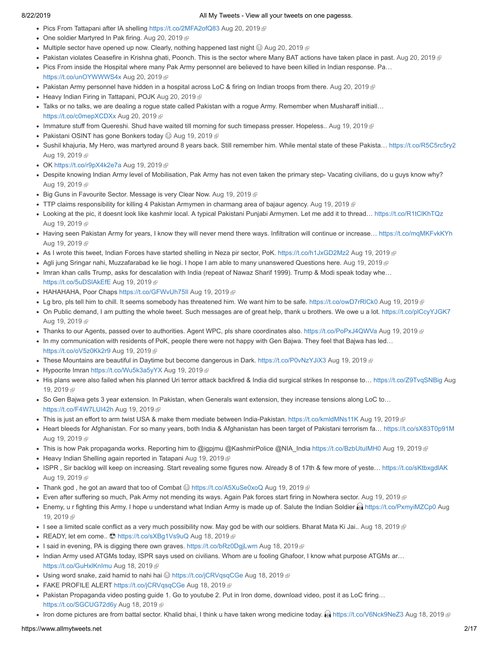- Pics From Tattapani after IA shelling [https://t.co/2MFA2ofQ83](http://t.co/2MFA2ofQ83) [Aug 20, 2019](https://twitter.com/stranger0968/status/1163729059051950080)
- One soldier Martyred In Pak firing. [Aug 20, 2019](https://twitter.com/stranger0968/status/1163726064520257536) @
- Multiple sector have opened up now. Clearly, nothing happened last night  $\textcircled{a}$  [Aug 20, 2019](https://twitter.com/stranger0968/status/1163722456667971584)  $\textcircled{r}$
- Pakistan violates Ceasefire in Krishna ghati, Poonch. This is the sector where Many BAT actions have taken place in past. [Aug 20, 2019](https://twitter.com/stranger0968/status/1163717718702534657)
- Pics From inside the Hospital where many Pak Army personnel are believed to have been killed in Indian response. Pa...
- [https://t.co/unOYWWWS4x](http://t.co/unOYWWWS4x) [Aug 20, 2019](https://twitter.com/stranger0968/status/1163716944702443520)
- Pakistan Army personnel have hidden in a hospital across LoC & firing on Indian troops from there. [Aug 20, 2019](https://twitter.com/stranger0968/status/1163710173023735808)
- Heavy Indian Firing in Tattapani, POJK [Aug 20, 2019](https://twitter.com/stranger0968/status/1163693749609910273)
- Talks or no talks, we are dealing a rogue state called Pakistan with a rogue Army. Remember when Musharaff initiall… [https://t.co/c0mepXCDXx](http://t.co/c0mepXCDXx) [Aug 20, 2019](https://twitter.com/stranger0968/status/1163693309010829312)
- Immature stuff from Quereshi. Shud have waited till morning for such timepass presser. Hopeless.. [Aug 19, 2019](https://twitter.com/stranger0968/status/1163518208365588485)
- Pakistani OSINT has gone Bonkers today  $\circledcirc$  [Aug 19, 2019](https://twitter.com/stranger0968/status/1163507184615006208)  $\circledcirc$
- Sushil khajuria, My Hero, was martyred around 8 years back. Still remember him. While mental state of these Pakista… [https://t.co/R5C5rc5ry2](http://t.co/R5C5rc5ry2) [Aug 19, 2019](https://twitter.com/stranger0968/status/1163497700660326401) @
- OK [https://t.co/r9pX4k2e7a](http://t.co/r9pX4k2e7a) [Aug 19, 2019](https://twitter.com/stranger0968/status/1163495944689737728)
- Despite knowing Indian Army level of Mobilisation, Pak Army has not even taken the primary step- Vacating civilians, do u guys know why? [Aug 19, 2019](https://twitter.com/stranger0968/status/1163487376817229825) &
- Big Guns in Favourite Sector. Message is very Clear Now. [Aug 19, 2019](https://twitter.com/stranger0968/status/1163483223374094336)
- TTP claims responsibility for killing 4 Pakistan Armymen in charmang area of bajaur agency. [Aug 19, 2019](https://twitter.com/stranger0968/status/1163482506974437383)  $\mathbb{F}$
- Looking at the pic, it doesnt look like kashmir local. A typical Pakistani Punjabi Armymen. Let me add it to thread… [https://t.co/R1tClKhTQz](http://t.co/R1tClKhTQz) [Aug 19, 2019](https://twitter.com/stranger0968/status/1163480538151301125) &
- Having seen Pakistan Army for years, I know they will never mend there ways. Infiltration will continue or increase… [https://t.co/mqMKFvkKYh](http://t.co/mqMKFvkKYh) [Aug 19, 2019](https://twitter.com/stranger0968/status/1163479048468779008) &
- As I wrote this tweet, Indian Forces have started shelling in Neza pir sector, PoK. [https://t.co/h1JxGD2Mz2](http://t.co/h1JxGD2Mz2) [Aug 19, 2019](https://twitter.com/stranger0968/status/1163476829526790144) @
- Agli jung Sringar nahi, Muzzafarabad ke lie hogi. I hope I am able to many unanswered Questions here. [Aug 19, 2019](https://twitter.com/stranger0968/status/1163476485182775301) @
- Imran khan calls Trump, asks for descalation with India (repeat of Nawaz Sharif 1999). Trump & Modi speak today whe… https://t.co/5uDSIAkEfE [Aug 19, 2019](https://twitter.com/stranger0968/status/1163467115501764609)
- HAHAHAHA, Poor Chaps https://t.co/GFWvUh75II [Aug 19, 2019](https://twitter.com/stranger0968/status/1163461353937547265) ®
- Lg bro, pls tell him to chill. It seems somebody has threatened him. We want him to be safe. [https://t.co/owD7rRlCk0](http://t.co/owD7rRlCk0) [Aug 19, 2019](https://twitter.com/stranger0968/status/1163452807963430914) ®
- On Public demand, I am putting the whole tweet. Such messages are of great help, thank u brothers. We owe u a lot. [https://t.co/plCcyYJGK7](http://t.co/plCcyYJGK7) [Aug 19, 2019](https://twitter.com/stranger0968/status/1163449880452354049) @
- Thanks to our Agents, passed over to authorities. Agent WPC, pls share coordinates also. [https://t.co/PoPxJ4QWVa](http://t.co/PoPxJ4QWVa) [Aug 19, 2019](https://twitter.com/stranger0968/status/1163443432406339584)
- In my communication with residents of PoK, people there were not happy with Gen Bajwa. They feel that Bajwa has led… [https://t.co/oV5z0Kk2r9](http://t.co/oV5z0Kk2r9) [Aug 19, 2019](https://twitter.com/stranger0968/status/1163442656376057859)
- These Mountains are beautiful in Daytime but become dangerous in Dark. [https://t.co/P0vNzYJiX3](http://t.co/P0vNzYJiX3) [Aug 19, 2019](https://twitter.com/stranger0968/status/1163437705063215104) @
- Hypocrite Imran [https://t.co/Wu5k3a5yYX](http://t.co/Wu5k3a5yYX) [Aug 19, 2019](https://twitter.com/stranger0968/status/1163434034476851202)
- [His plans were also failed when his planned Uri terror attack backfired & India did surgical strikes In response to… https://t.co/Z9TvqSNBig](https://twitter.com/stranger0968/status/1163419442350612480) Aug 19, 2019 图
- So Gen Bajwa gets 3 year extension. In Pakistan, when Generals want extension, they increase tensions along LoC to… [https://t.co/F4W7LUI42h](http://t.co/F4W7LUI42h) [Aug 19, 2019](https://twitter.com/stranger0968/status/1163417972658122752)
- This is just an effort to arm twist USA & make them mediate between India-Pakistan. [https://t.co/kmldMNs11K](http://t.co/kmldMNs11K) [Aug 19, 2019](https://twitter.com/stranger0968/status/1163384823374917634) @
- Heart bleeds for Afghanistan. For so many years, both India & Afghanistan has been target of Pakistani terrorism fa… [https://t.co/sX83T0p91M](http://t.co/sX83T0p91M) [Aug 19, 2019](https://twitter.com/stranger0968/status/1163383044767670273) &
- This is how Pak propaganda works. Reporting him to @igpjmu @KashmirPolice @NIA\_India [https://t.co/BzbUtuIMH0](http://t.co/BzbUtuIMH0) [Aug 19, 2019](https://twitter.com/stranger0968/status/1163381159264280576) @
- Heavy Indian Shelling again reported in Tatapani [Aug 19, 2019](https://twitter.com/stranger0968/status/1163362201400483841) @
- ISPR, Sir backlog will keep on increasing. Start revealing some figures now. Already 8 of 17th & few more of yeste... [https://t.co/sKtbxgdlAK](http://t.co/sKtbxgdlAK) [Aug 19, 2019](https://twitter.com/stranger0968/status/1163354961377468416) &
- Thank god, he got an award that too of Combat  $\circledast$  [https://t.co/A5XuSe0xoQ](http://t.co/A5XuSe0xoQ) [Aug 19, 2019](https://twitter.com/stranger0968/status/1163349385662607361)  $\circledast$
- Even after suffering so much, Pak Army not mending its ways. Again Pak forces start firing in Nowhera sector. [Aug 19, 2019](https://twitter.com/stranger0968/status/1163333109397565441) ®
- [Enemy, u r fighting this Army. I hope u understand what Indian Army is made up of. Salute the Indian Soldier](https://twitter.com/stranger0968/status/1163307860631183360) in [https://t.co/PxmyiMZCp0](http://t.co/PxmyiMZCp0) Aug 19, 2019
- I see a limited scale conflict as a very much possibility now. May god be with our soldiers. Bharat Mata Ki Jai.. [Aug 18, 2019](https://twitter.com/stranger0968/status/1163155051185156096)  $\Omega$
- READY, let em come.. © [https://t.co/sXBg1Vs9uQ](http://t.co/sXBg1Vs9uQ) [Aug 18, 2019](https://twitter.com/stranger0968/status/1163150953798877187) ®
- I said in evening, PA is digging there own graves. [https://t.co/bRz0DgjLwm](http://t.co/bRz0DgjLwm) [Aug 18, 2019](https://twitter.com/stranger0968/status/1163150335562719235)  $\Omega$
- Indian Army used ATGMs today, ISPR says used on civilians. Whom are u fooling Ghafoor, I know what purpose ATGMs ar... [https://t.co/GuHxlKnImu](http://t.co/GuHxlKnImu) [Aug 18, 2019](https://twitter.com/stranger0968/status/1163147512649306113)
- Using word snake, zaid hamid to nahi hai  $\circledast$  [https://t.co/jCRVqsqCGe](http://t.co/jCRVqsqCGe) [Aug 18, 2019](https://twitter.com/stranger0968/status/1163136047389323270)  $\circledast$
- FAKE PROFILE ALERT [https://t.co/jCRVqsqCGe](http://t.co/jCRVqsqCGe) [Aug 18, 2019](https://twitter.com/stranger0968/status/1163134921008963586) @
- Pakistan Propaganda video posting guide 1. Go to youtube 2. Put in Iron dome, download video, post it as LoC firing… [https://t.co/SGCUG72d6y](http://t.co/SGCUG72d6y) [Aug 18, 2019](https://twitter.com/stranger0968/status/1163134589881278464)
- Iron dome pictures are from battal sector. Khalid bhai, I think u have taken wrong medicine today.  **n** [https://t.co/V6Nck9NeZ3](http://t.co/V6Nck9NeZ3) [Aug 18, 2019](https://twitter.com/stranger0968/status/1163133480852774914) ®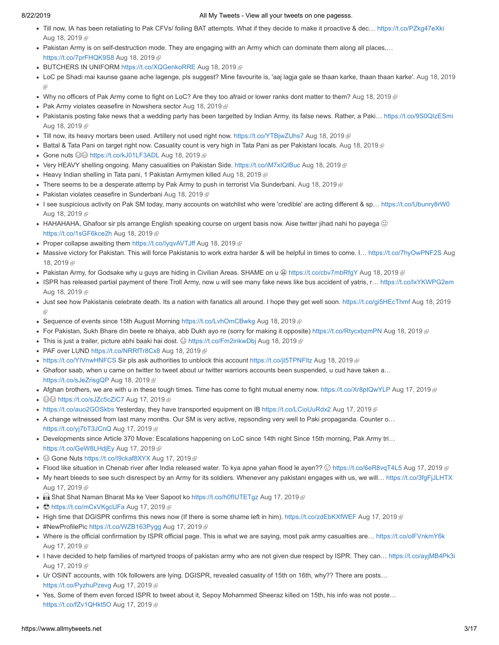- . Till now, IA has been retaliating to Pak CFVs/ foiling BAT attempts. What if they decide to make it proactive & dec... [https://t.co/PZkg47eXki](http://t.co/PZkg47eXki) [Aug 18, 2019](https://twitter.com/stranger0968/status/1163129931313897478) @
- Pakistan Army is on self-destruction mode. They are engaging with an Army which can dominate them along all places,… [https://t.co/7prFHQK9S8](http://t.co/7prFHQK9S8) [Aug 18, 2019](https://twitter.com/stranger0968/status/1163127174112698375)
- BUTCHERS IN UNIFORM [https://t.co/XQGenkoRRE](http://t.co/XQGenkoRRE) [Aug 18, 2019](https://twitter.com/stranger0968/status/1163118879897509888)
- [LoC pe Shadi mai kaunse gaane ache lagenge, pls suggest? Mine favourite is, 'aaj lagja gale se thaan karke, thaan thaan karke'. Aug 18, 2019](https://twitter.com/stranger0968/status/1163116880418299904) 兩
- Why no officers of Pak Army come to fight on LoC? Are they too afraid or lower ranks dont matter to them? [Aug 18, 2019](https://twitter.com/stranger0968/status/1163114336593821698)  $\oplus$
- Pak Army violates ceasefire in Nowshera sector [Aug 18, 2019](https://twitter.com/stranger0968/status/1163104943760216065)
- Pakistanis posting fake news that a wedding party has been targetted by Indian Army, its false news. Rather, a Paki... [https://t.co/9S0QIzESmi](http://t.co/9S0QIzESmi) [Aug 18, 2019](https://twitter.com/stranger0968/status/1163103885428498432) @
- Till now, its heavy mortars been used. Artillery not used right now. [https://t.co/YTBjwZUhs7](http://t.co/YTBjwZUhs7) [Aug 18, 2019](https://twitter.com/stranger0968/status/1163102572061843457) @
- Battal & Tata Pani on target right now. Casuality count is very high in Tata Pani as per Pakistani locals. [Aug 18, 2019](https://twitter.com/stranger0968/status/1163101441571115009)
- Gone nuts  $\circledcirc\circ$  [https://t.co/kJ01LF3ADL](http://t.co/kJ01LF3ADL) [Aug 18, 2019](https://twitter.com/stranger0968/status/1163101066877124609)
- Very HEAVY shelling ongoing. Many casualities on Pakistan Side. [https://t.co/iM7xIQIBuc](http://t.co/iM7xIQIBuc) [Aug 18, 2019](https://twitter.com/stranger0968/status/1163096027471208450)
- Heavy Indian shelling in Tata pani, 1 Pakistan Armymen killed [Aug 18, 2019](https://twitter.com/stranger0968/status/1163095575681806343)
- There seems to be a desperate attemp by Pak Army to push in terrorist Via Sunderbani. [Aug 18, 2019](https://twitter.com/stranger0968/status/1163082131792375810) @
- Pakistan violates ceasefire in Sunderbani [Aug 18, 2019](https://twitter.com/stranger0968/status/1163077118319894528)
- I see suspicious activity on Pak SM today, many accounts on watchlist who were 'credible' are acting different & sp… [https://t.co/Ubunry8rW0](http://t.co/Ubunry8rW0) [Aug 18, 2019](https://twitter.com/stranger0968/status/1163076795819798528) @
- HAHAHAHA, Ghafoor sir pls arrange English speaking course on urgent basis now. Aise twitter jihad nahi ho payega  $\odot$ [https://t.co/1sGF6kce2h](http://t.co/1sGF6kce2h) [Aug 18, 2019](https://twitter.com/stranger0968/status/1163073960361308160)
- Proper collapse awaiting them [https://t.co/IyqvAVTJff](http://t.co/IyqvAVTJff) [Aug 18, 2019](https://twitter.com/stranger0968/status/1163070280245403649)  $\text{F}$
- Massive victory for Pakistan. This will force Pakistanis to work extra harder & will be helpful in times to come. I... https://t.co/7hyOwPNF2S Aug 18, 2019
- Pakistan Army, for Godsake why u guys are hiding in Civilian Areas. SHAME on u [https://t.co/cbv7mbRfgY](http://t.co/cbv7mbRfgY) [Aug 18, 2019](https://twitter.com/stranger0968/status/1163051114318761984)
- ISPR has released partial payment of there Troll Army, now u will see many fake news like bus accident of yatris, r… [https://t.co/lxYKWPG2em](http://t.co/lxYKWPG2em) [Aug 18, 2019](https://twitter.com/stranger0968/status/1163045396207288320) &
- [Just see how Pakistanis celebrate death. Its a nation with fanatics all around. I hope they get well soon. https://t.co/gi5HEcThmf](https://twitter.com/stranger0968/status/1163032929699880960) Aug 18, 2019
- Sequence of events since 15th August Morning [https://t.co/LvhOmCBwkg](http://t.co/LvhOmCBwkg) [Aug 18, 2019](https://twitter.com/stranger0968/status/1163022644888985600)
- For Pakistan, Sukh Bhare din beete re bhaiya, abb Dukh ayo re (sorry for making it opposite) [https://t.co/RtycxbzmPN](http://t.co/RtycxbzmPN) [Aug 18, 2019](https://twitter.com/stranger0968/status/1162983830191595520) *®*
- This is just a trailer, picture abhi baaki hai dost. ☺ [https://t.co/Fm2inkwDbj](http://t.co/Fm2inkwDbj) [Aug 18, 2019](https://twitter.com/stranger0968/status/1162980424454459392) .
- PAF over LUND [https://t.co/NRRfTr8Cx8](http://t.co/NRRfTr8Cx8) [Aug 18, 2019](https://twitter.com/stranger0968/status/1162975366203564038)
- [https://t.co/YIVnwHNFCS](http://t.co/YIVnwHNFCS) Sir pls ask authorities to unblock this account [https://t.co/jI5TPNFltz](http://t.co/jI5TPNFltz) [Aug 18, 2019](https://twitter.com/stranger0968/status/1162966340916916224)  $\oplus$
- Ghafoor saab, when u came on twitter to tweet about ur twitter warriors accounts been suspended, u cud have taken a… [https://t.co/sJeZrisgQP](http://t.co/sJeZrisgQP) [Aug 18, 2019](https://twitter.com/stranger0968/status/1162948751041974274) 图
- Afghan brothers, we are with u in these tough times. Time has come to fight mutual enemy now. [https://t.co/Xr8ptQwYLP](http://t.co/Xr8ptQwYLP) [Aug 17, 2019](https://twitter.com/stranger0968/status/1162810243723587584)
- ©© [https://t.co/sJZc5cZiC7](http://t.co/sJZc5cZiC7) [Aug 17, 2019](https://twitter.com/stranger0968/status/1162796827726319616) @
- [https://t.co/auo2GOSkbs](http://t.co/auo2GOSkbs) Yesterday, they have transported equipment on IB [https://t.co/LCioUuRdx2](http://t.co/LCioUuRdx2) [Aug 17, 2019](https://twitter.com/stranger0968/status/1162778439411089408)  $\oplus$
- A change witnessed from last many months. Our SM is very active, repsonding very well to Paki propaganda. Counter o… [https://t.co/yj7bT3JCnQ](http://t.co/yj7bT3JCnQ) [Aug 17, 2019](https://twitter.com/stranger0968/status/1162775209671192577)
- Developments since Article 370 Move: Escalations happening on LoC since 14th night Since 15th morning, Pak Army tri… [https://t.co/GeW8LHdjEy](http://t.co/GeW8LHdjEy) [Aug 17, 2019](https://twitter.com/stranger0968/status/1162750828777791488)
- Gone Nuts [https://t.co/I9ckaf8XYX](http://t.co/I9ckaf8XYX) [Aug 17, 2019](https://twitter.com/stranger0968/status/1162745423473336321)
- Flood like situation in Chenab river after India released water. To kya apne yahan flood le ayen?? © [https://t.co/6eR8vqT4L5](http://t.co/6eR8vqT4L5) [Aug 17, 2019](https://twitter.com/stranger0968/status/1162735141275480066) @
- My heart bleeds to see such disrespect by an Army for its soldiers. Whenever any pakistani engages with us, we will… [https://t.co/3fgFjJLHTX](http://t.co/3fgFjJLHTX) [Aug 17, 2019](https://twitter.com/stranger0968/status/1162731792316665858) @
- **B** Shat Shat Naman Bharat Ma ke Veer Sapoot ko https://t.co/h0flUTETgz [Aug 17, 2019](https://twitter.com/stranger0968/status/1162718342009856000) @
- C[https://t.co/mCxVKgcUFa](http://t.co/mCxVKgcUFa) [Aug 17, 2019](https://twitter.com/stranger0968/status/1162717677657346049) @
- If High time that DGISPR confirms this news now (If there is some shame left in him). [https://t.co/zdEbKXfWEF](http://t.co/zdEbKXfWEF) [Aug 17, 2019](https://twitter.com/stranger0968/status/1162717585974034432)
- #NewProfilePic [https://t.co/WZB163Pygg](http://t.co/WZB163Pygg) [Aug 17, 2019](https://twitter.com/stranger0968/status/1162714196338831364) ®
- Where is the official confirmation by ISPR official page. This is what we are saying, most pak army casualties are… [https://t.co/olFVnkmY6k](http://t.co/olFVnkmY6k) [Aug 17, 2019](https://twitter.com/stranger0968/status/1162707010321694720) &
- I have decided to help families of martyred troops of pakistan army who are not given due respect by ISPR. They can... [https://t.co/ayjMB4Pk3i](http://t.co/ayjMB4Pk3i) [Aug 17, 2019](https://twitter.com/stranger0968/status/1162698544723177473) @
- Ur OSINT accounts, with 10k followers are lying. DGISPR, revealed casuality of 15th on 16th, why?? There are posts… [https://t.co/PyzhuPzevg](http://t.co/PyzhuPzevg) [Aug 17, 2019](https://twitter.com/stranger0968/status/1162695417135542274)
- Yes, Some of them even forced ISPR to tweet about it, Sepoy Mohammed Sheeraz killed on 15th, his info was not poste… [https://t.co/fZv1QHkt5O](http://t.co/fZv1QHkt5O) [Aug 17, 2019](https://twitter.com/stranger0968/status/1162690471770152960)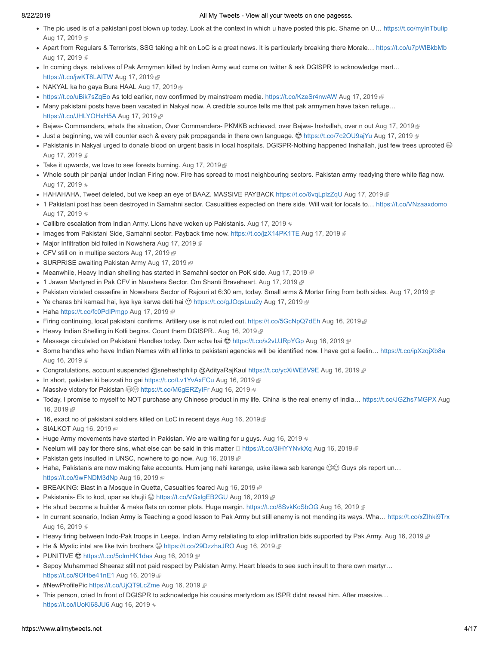- The pic used is of a pakistani post blown up today. Look at the context in which u have posted this pic. Shame on U... [https://t.co/myInTbuIip](http://t.co/myInTbuIip) [Aug 17, 2019](https://twitter.com/stranger0968/status/1162689095082098689) &
- Apart from Regulars & Terrorists, SSG taking a hit on LoC is a great news. It is particularly breaking there Morale… [https://t.co/u7pWlBkbMb](http://t.co/u7pWlBkbMb) [Aug 17, 2019](https://twitter.com/stranger0968/status/1162688164571570176) @
- In coming days, relatives of Pak Armymen killed by Indian Army wud come on twitter & ask DGISPR to acknowledge mart… [https://t.co/jwKT8LAITW](http://t.co/jwKT8LAITW) [Aug 17, 2019](https://twitter.com/stranger0968/status/1162684843471364098)
- NAKYAL ka ho gaya Bura HAAL [Aug 17, 2019](https://twitter.com/stranger0968/status/1162681092261986306)
- [https://t.co/uBik7sZqEo](http://t.co/uBik7sZqEo) As told earlier, now confirmed by mainstream media. [https://t.co/KzeSr4nwAW](http://t.co/KzeSr4nwAW) [Aug 17, 2019](https://twitter.com/stranger0968/status/1162680144030568448) ®
- Many pakistani posts have been vacated in Nakyal now. A credible source tells me that pak armymen have taken refuge… [https://t.co/JHLYOHxH5A](http://t.co/JHLYOHxH5A) [Aug 17, 2019](https://twitter.com/stranger0968/status/1162660408471302145)
- Bajwa- Commanders, whats the situation, Over Commanders- PKMKB achieved, over Bajwa- Inshallah, over n out [Aug 17, 2019](https://twitter.com/stranger0968/status/1162650724955766784)
- Just a beginning, we will counter each & every pak propaganda in there own language.  $\bullet$  [https://t.co/7c2OU9ajYu](http://t.co/7c2OU9ajYu) [Aug 17, 2019](https://twitter.com/stranger0968/status/1162648969954177024) @
- Pakistanis in Nakyal urged to donate blood on urgent basis in local hospitals. DGISPR-Nothing happened Inshallah, just few trees uprooted  $\odot$ [Aug 17, 2019](https://twitter.com/stranger0968/status/1162640241305542657) &
- $\bullet$  Take it upwards, we love to see forests burning. [Aug 17, 2019](https://twitter.com/stranger0968/status/1162639492295069701)  $\textcircled{F}$
- Whole south pir panjal under Indian Firing now. Fire has spread to most neighbouring sectors. Pakistan army readying there white flag now. [Aug 17, 2019](https://twitter.com/stranger0968/status/1162637339463696385) &
- HAHAHAHA, Tweet deleted, but we keep an eye of BAAZ. MASSIVE PAYBACK [https://t.co/6vqLplzZqU](http://t.co/6vqLplzZqU) [Aug 17, 2019](https://twitter.com/stranger0968/status/1162636910508072960)
- 1 Pakistani post has been destroyed in Samahni sector. Casualities expected on there side. Will wait for locals to... [https://t.co/VNzaaxdomo](http://t.co/VNzaaxdomo) [Aug 17, 2019](https://twitter.com/stranger0968/status/1162635624760958976) @
- Callibre escalation from Indian Army. Lions have woken up Pakistanis. [Aug 17, 2019](https://twitter.com/stranger0968/status/1162633641048100864)
- Images from Pakistani Side, Samahni sector. Payback time now. [https://t.co/jzX14PK1TE](http://t.co/jzX14PK1TE) [Aug 17, 2019](https://twitter.com/stranger0968/status/1162632547790217216) ®
- Major Infiltration bid foiled in Nowshera [Aug 17, 2019](https://twitter.com/stranger0968/status/1162631202358079493) @
- CFV still on in multipe sectors [Aug 17, 2019](https://twitter.com/stranger0968/status/1162630302927339521) @
- SURPRISE awaiting Pakistan Army [Aug 17, 2019](https://twitter.com/stranger0968/status/1162629848935927810)
- Meanwhile, Heavy Indian shelling has started in Samahni sector on PoK side. [Aug 17, 2019](https://twitter.com/stranger0968/status/1162627606375817221)  $\mathbb P$
- 1 Jawan Martyred in Pak CFV in Naushera Sector. Om Shanti Braveheart. [Aug 17, 2019](https://twitter.com/stranger0968/status/1162627301726662656)
- Pakistan violated ceasefire in Nowshera Sector of Rajouri at 6:30 am, today. Small arms & Mortar firing from both sides. [Aug 17, 2019](https://twitter.com/stranger0968/status/1162620797581742080) ®
- $\bullet$  Ye charas bhi kamaal hai, kya kya karwa deti hai  $\odot$  [https://t.co/gJOqsLuu2y](http://t.co/gJOqsLuu2y) [Aug 17, 2019](https://twitter.com/stranger0968/status/1162569118253498368) @
- Haha [https://t.co/fc0PdIPmgp](http://t.co/fc0PdIPmgp) [Aug 17, 2019](https://twitter.com/stranger0968/status/1162568306995412994)
- Firing continuing, local pakistani confirms. Artillery use is not ruled out. [https://t.co/5GcNpQ7dEh](http://t.co/5GcNpQ7dEh) [Aug 16, 2019](https://twitter.com/stranger0968/status/1162432294466052097) ®
- Heavy Indian Shelling in Kotli begins. Count them DGISPR.. [Aug 16, 2019](https://twitter.com/stranger0968/status/1162425332793823233)
- Message circulated on Pakistani Handles today. Darr acha hai © [https://t.co/s2vUJRpYGp](http://t.co/s2vUJRpYGp) [Aug 16, 2019](https://twitter.com/stranger0968/status/1162422124260147201) @
- Some handles who have Indian Names with all links to pakistani agencies will be identified now. I have got a feelin... [https://t.co/ipXzqjXb8a](http://t.co/ipXzqjXb8a) [Aug 16, 2019](https://twitter.com/stranger0968/status/1162413080262971392) ®
- Congratulations, account suspended @sneheshphilip @AdityaRajKaul [https://t.co/ycXiWE8V9E](http://t.co/ycXiWE8V9E) [Aug 16, 2019](https://twitter.com/stranger0968/status/1162409566426030081) ®
- In short, pakistan ki beizzati ho gai [https://t.co/Lv1YvAxFCu](http://t.co/Lv1YvAxFCu) [Aug 16, 2019](https://twitter.com/stranger0968/status/1162404979627429894)
- Massive victory for Pakistan [https://t.co/M6gERZyIFr](http://t.co/M6gERZyIFr) [Aug 16, 2019](https://twitter.com/stranger0968/status/1162403425553965056)
- [Today, I promise to myself to NOT purchase any Chinese product in my life. China is the real enemy of India… https://t.co/JGZhs7MGPX](https://twitter.com/stranger0968/status/1162398810540261380) Aug 16, 2019 图
- 16, exact no of pakistani soldiers killed on LoC in recent days [Aug 16, 2019](https://twitter.com/stranger0968/status/1162394606669041664) @
- SIALKOT [Aug 16, 2019](https://twitter.com/stranger0968/status/1162391792895049729) <sup>®</sup>
- Huge Army movements have started in Pakistan. We are waiting for u guys. [Aug 16, 2019](https://twitter.com/stranger0968/status/1162388778482204672)  $\epsilon$
- Neelum will pay for there sins, what else can be said in this matter  $\Box$  [https://t.co/3iHYYNvkXq](http://t.co/3iHYYNvkXq) [Aug 16, 2019](https://twitter.com/stranger0968/status/1162384460760932352)  $\mathbb F$
- Pakistan gets insulted in UNSC, nowhere to go now. [Aug 16, 2019](https://twitter.com/stranger0968/status/1162366585476210688)  $\mathbb{P}$
- Haha, Pakistanis are now making fake accounts. Hum jang nahi karenge, uske ilawa sab karenge  $\circledast\circ$  Guys pls report un... [https://t.co/9wFNDM3dNp](http://t.co/9wFNDM3dNp) [Aug 16, 2019](https://twitter.com/stranger0968/status/1162324190298591232)
- BREAKING: Blast in a Mosque in Quetta, Casualties feared [Aug 16, 2019](https://twitter.com/stranger0968/status/1162308792647856128) @
- Pakistanis- Ek to kod, upar se khujli @ [https://t.co/VGxlgEB2GU](http://t.co/VGxlgEB2GU) [Aug 16, 2019](https://twitter.com/stranger0968/status/1162279443949162496) @
- He shud become a builder & make flats on corner plots. Huge margin. [https://t.co/8SvkKcSbOG](http://t.co/8SvkKcSbOG) [Aug 16, 2019](https://twitter.com/stranger0968/status/1162278056871940096) @
- In current scenario, Indian Army is Teaching a good lesson to Pak Army but still enemy is not mending its ways. Wha... https://t.co/xZlhki9Trx [Aug 16, 2019](https://twitter.com/stranger0968/status/1162277516037349376)
- Heavy firing between Indo-Pak troops in Leepa. Indian Army retaliating to stop infiltration bids supported by Pak Army. [Aug 16, 2019](https://twitter.com/stranger0968/status/1162272939565187072)
- He & Mystic intel are like twin brothers  $\circledcirc$  [https://t.co/29DzzhaJRO](http://t.co/29DzzhaJRO) [Aug 16, 2019](https://twitter.com/stranger0968/status/1162260431433416705)  $\circledcirc$
- PUNITIVE S[https://t.co/5olmHK1das](http://t.co/5olmHK1das) [Aug 16, 2019](https://twitter.com/stranger0968/status/1162256204573265920) <sup>®</sup>
- Sepoy Muhammed Sheeraz still not paid respect by Pakistan Army. Heart bleeds to see such insult to there own martyr... [https://t.co/9OHbe41nE1](http://t.co/9OHbe41nE1) [Aug 16, 2019](https://twitter.com/stranger0968/status/1162250317699747841)
- #NewProfilePic [https://t.co/UjQT9LcZme](http://t.co/UjQT9LcZme) [Aug 16, 2019](https://twitter.com/stranger0968/status/1162238519927955456) <sup>®</sup>
- This person, cried In front of DGISPR to acknowledge his cousins martyrdom as ISPR didnt reveal him. After massive… [https://t.co/iUoKi68JU6](http://t.co/iUoKi68JU6) [Aug 16, 2019](https://twitter.com/stranger0968/status/1162225114290614273)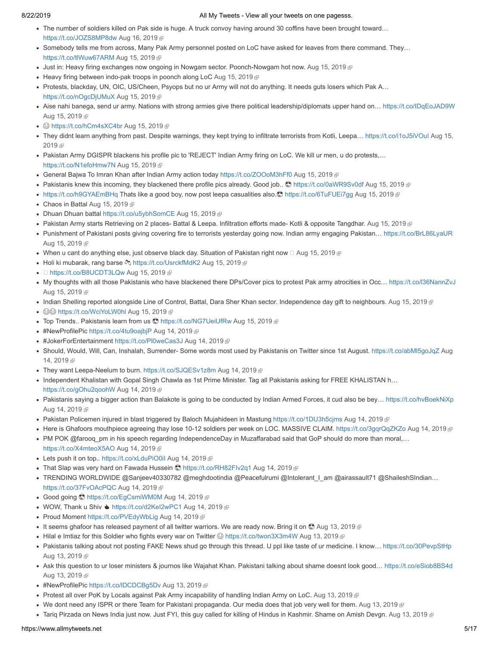- The number of soldiers killed on Pak side is huge. A truck convoy having around 30 coffins have been brought toward… [https://t.co/JOZS8MP8dw](http://t.co/JOZS8MP8dw) [Aug 16, 2019](https://twitter.com/stranger0968/status/1162194403869356033)
- Somebody tells me from across, Many Pak Army personnel posted on LoC have asked for leaves from there command. They... [https://t.co/tlWuw67ARM](http://t.co/tlWuw67ARM) [Aug 15, 2019](https://twitter.com/stranger0968/status/1162055894856658944)
- Just in: Heavy firing exchanges now ongoing in Nowgam sector. Poonch-Nowgam hot now. [Aug 15, 2019](https://twitter.com/stranger0968/status/1162046836179255296)
- $\bullet$  Heavy firing between indo-pak troops in poonch along LoC [Aug 15, 2019](https://twitter.com/stranger0968/status/1162042932859482117)  $\bullet$
- Protests, blackday, UN, OIC, US/Cheen, Psyops but no ur Army will not do anything. It needs guts losers which Pak A… [https://t.co/nOgcDjUMuX](http://t.co/nOgcDjUMuX) [Aug 15, 2019](https://twitter.com/stranger0968/status/1162039342019284992)
- Aise nahi banega, send ur army. Nations with strong armies give there political leadership/diplomats upper hand on... [https://t.co/IDqEoJAD9W](http://t.co/IDqEoJAD9W) [Aug 15, 2019](https://twitter.com/stranger0968/status/1162023495326285824) &
- <sup>●</sup> [https://t.co/hCm4sXC4br](http://t.co/hCm4sXC4br) [Aug 15, 2019](https://twitter.com/stranger0968/status/1162009892724461568) <sup>a</sup>
- They didnt learn anything from past. Despite warnings, they kept trying to infiltrate terrorists from Kotli, Leepa... https://t.co/i1oJ5iVOul Aug 15, 2019 图
- Pakistan Army DGISPR blackens his profile pic to 'REJECT' Indian Army firing on LoC. We kill ur men, u do protests,… [https://t.co/N1efoHmw7N](http://t.co/N1efoHmw7N) [Aug 15, 2019](https://twitter.com/stranger0968/status/1162006777367617539)
- General Bajwa To Imran Khan after Indian Army action today [https://t.co/ZOOoM3hFf0](http://t.co/ZOOoM3hFf0) [Aug 15, 2019](https://twitter.com/stranger0968/status/1162002829491486726)
- Pakistanis knew this incoming, they blackened there profile pics already. Good job..  $\bullet$  [https://t.co/0aWR9Sv0df](http://t.co/0aWR9Sv0df) [Aug 15, 2019](https://twitter.com/stranger0968/status/1161999991805812742) ®
- [https://t.co/h9GYAEmBHq](http://t.co/h9GYAEmBHq) Thats like a good boy, now post leepa casualities also. [https://t.co/6TuFUEi7gg](http://t.co/6TuFUEi7gg) [Aug 15, 2019](https://twitter.com/stranger0968/status/1161998168172695552)
- Chaos in Battal [Aug 15, 2019](https://twitter.com/stranger0968/status/1161958731925655552) ®
- Dhuan Dhuan battal [https://t.co/u5ybhSomCE](http://t.co/u5ybhSomCE) [Aug 15, 2019](https://twitter.com/stranger0968/status/1161948395688251392)
- . Pakistan Army starts Retrieving on 2 places- Battal & Leepa. Infiltration efforts made- Kotli & opposite Tangdhar. [Aug 15, 2019](https://twitter.com/stranger0968/status/1161929782533246976)
- Punishment of Pakistani posts giving covering fire to terrorists yesterday going now. Indian army engaging Pakistan… [https://t.co/BrL86LyaUR](http://t.co/BrL86LyaUR) [Aug 15, 2019](https://twitter.com/stranger0968/status/1161915823637839872) @
- When u cant do anything else, just observe black day. Situation of Pakistan right now  $\Box$  [Aug 15, 2019](https://twitter.com/stranger0968/status/1161899041669746688)  $\Box$
- Holi ki mubarak, rang barse  $\&$  [https://t.co/UsrckfMdK2](http://t.co/UsrckfMdK2) [Aug 15, 2019](https://twitter.com/stranger0968/status/1161882029069389824)  $\&$
- $\bullet$   $\Box$  [https://t.co/B8UCDT3LQw](http://t.co/B8UCDT3LQw) [Aug 15, 2019](https://twitter.com/stranger0968/status/1161879641994485760)  $\text{F}$
- My thoughts with all those Pakistanis who have blackened there DPs/Cover pics to protest Pak army atrocities in Occ… [https://t.co/l36NannZvJ](http://t.co/l36NannZvJ) [Aug 15, 2019](https://twitter.com/stranger0968/status/1161876482509037571) &
- Indian Shelling reported alongside Line of Control, Battal, Dara Sher Khan sector. Independence day gift to neighbours. [Aug 15, 2019](https://twitter.com/stranger0968/status/1161849985228574720)
- ©© [https://t.co/WciYoLW0hl](http://t.co/WciYoLW0hl) [Aug 15, 2019](https://twitter.com/stranger0968/status/1161844823357349888) @
- Top Trends.. Pakistanis learn from us  $\bigcirc$  [https://t.co/NG7UeiUfRw](http://t.co/NG7UeiUfRw) [Aug 15, 2019](https://twitter.com/stranger0968/status/1161838593125601280)
- #NewProfilePic [https://t.co/4tu9oajbjP](http://t.co/4tu9oajbjP) [Aug 14, 2019](https://twitter.com/stranger0968/status/1161673850280534016) ®
- #JokerForEntertainment [https://t.co/Pl0weCas3J](http://t.co/Pl0weCas3J) [Aug 14, 2019](https://twitter.com/stranger0968/status/1161664234331107328) <sup>®</sup>
- [Should, Would, Will, Can, Inshalah, Surrender- Some words most used by Pakistanis on Twitter since 1st August. https://t.co/abMl5goJqZ](https://twitter.com/stranger0968/status/1161656480723922944) Aug 14, 2019 雨
- They want Leepa-Neelum to burn. [https://t.co/SJQESv1z8m](http://t.co/SJQESv1z8m) [Aug 14, 2019](https://twitter.com/stranger0968/status/1161647946007547906)
- Independent Khalistan with Gopal Singh Chawla as 1st Prime Minister. Tag all Pakistanis asking for FREE KHALISTAN h... [https://t.co/gOhu2qoohW](http://t.co/gOhu2qoohW) [Aug 14, 2019](https://twitter.com/stranger0968/status/1161647211555491841)
- Pakistanis saying a bigger action than Balakote is going to be conducted by Indian Armed Forces, it cud also be bey... [https://t.co/hvBoekNiXp](http://t.co/hvBoekNiXp) [Aug 14, 2019](https://twitter.com/stranger0968/status/1161635902864707589) &
- Pakistan Policemen injured in blast triggered by Baloch Mujahideen in Mastung [https://t.co/1DU3h5cjms](http://t.co/1DU3h5cjms) [Aug 14, 2019](https://twitter.com/stranger0968/status/1161577331590221826)
- Here is Ghafoors mouthpiece agreeing thay lose 10-12 soldiers per week on LOC. MASSIVE CLAIM. [https://t.co/3gqrQqZKZo](http://t.co/3gqrQqZKZo) [Aug 14, 2019](https://twitter.com/stranger0968/status/1161549987400040450) @
- PM POK @farooq\_pm in his speech regarding IndependenceDay in Muzaffarabad said that GoP should do more than moral,... [https://t.co/X4mteoX5AO](http://t.co/X4mteoX5AO) [Aug 14, 2019](https://twitter.com/stranger0968/status/1161549262955655169)
- Lets push it on top.. https://t.co/xLduPiO0il [Aug 14, 2019](https://twitter.com/stranger0968/status/1161532590513414144) @
- That Slap was very hard on Fawada Hussein  $\bigcirc$  [https://t.co/RH82FIv2q1](http://t.co/RH82FIv2q1) [Aug 14, 2019](https://twitter.com/stranger0968/status/1161532145493512192)  $\bigcirc$
- · TRENDING WORLDWIDE @Sanjeev40330782 @meghdootindia @Peacefulrumi @Intolerant | am @airassault71 @ShaileshSIndian... [https://t.co/37FvOAcPQC](http://t.co/37FvOAcPQC) [Aug 14, 2019](https://twitter.com/stranger0968/status/1161497277015478272)
- Good going S[https://t.co/EgCsmiWM0M](http://t.co/EgCsmiWM0M) [Aug 14, 2019](https://twitter.com/stranger0968/status/1161496508665085952) *®*
- WOW, Thank u Shiv  $\triangleq$  [https://t.co/d2KeI2wPC1](http://t.co/d2KeI2wPC1) [Aug 14, 2019](https://twitter.com/stranger0968/status/1161473802720686080) @
- Proud Moment [https://t.co/PVEdyWbLig](http://t.co/PVEdyWbLig) [Aug 14, 2019](https://twitter.com/stranger0968/status/1161466459031130112)
- It seems ghafoor has released payment of all twitter warriors. We are ready now. Bring it on  $\bigcirc$  [Aug 13, 2019](https://twitter.com/stranger0968/status/1161332823870980097)  $\mathbb P$
- Hilal e Imtiaz for this Soldier who fights every war on Twitter *⊜* [https://t.co/twon3X3m4W](http://t.co/twon3X3m4W) [Aug 13, 2019](https://twitter.com/stranger0968/status/1161331746324881408) *P*
- Pakistanis talking about not posting FAKE News shud go through this thread. U ppl like taste of ur medicine. I know... [https://t.co/30PevpStHp](http://t.co/30PevpStHp) [Aug 13, 2019](https://twitter.com/stranger0968/status/1161330015566385153) @
- Ask this question to ur loser ministers & journos like Wajahat Khan. Pakistani talking about shame doesnt look good… [https://t.co/eSiob8BS4d](http://t.co/eSiob8BS4d) [Aug 13, 2019](https://twitter.com/stranger0968/status/1161327517698887680) @
- #NewProfilePic https://t.co/IDCDCBg5Dv [Aug 13, 2019](https://twitter.com/stranger0968/status/1161314189786406912) <sup>®</sup>
- Protest all over PoK by Locals against Pak Army incapability of handling Indian Army on LoC. [Aug 13, 2019](https://twitter.com/stranger0968/status/1161307283055398912)
- We dont need any ISPR or there Team for Pakistani propaganda. Our media does that job very well for them. [Aug 13, 2019](https://twitter.com/stranger0968/status/1161277985489600513)
- Tariq Pirzada on News India just now. Just FYI, this guy called for killing of Hindus in Kashmir. Shame on Amish Devgn. [Aug 13, 2019](https://twitter.com/stranger0968/status/1161276591646920705)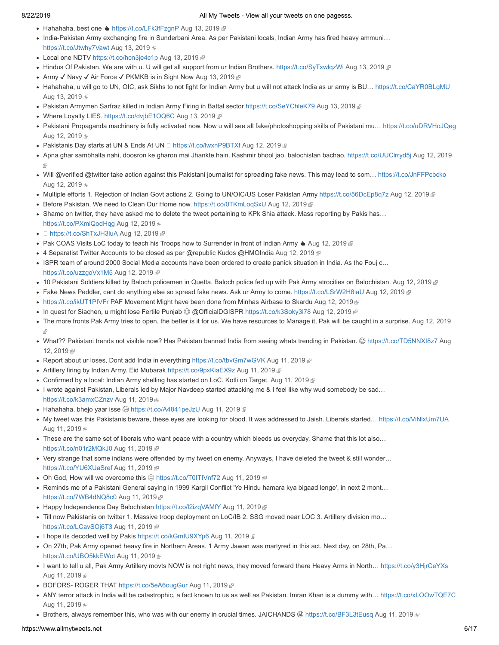- Hahahaha, best one  $\triangleq$  [https://t.co/LFk3fFzgnP](http://t.co/LFk3fFzgnP) [Aug 13, 2019](https://twitter.com/stranger0968/status/1161275442936057857)  $\text{F}$
- India-Pakistan Army exchanging fire in Sunderbani Area. As per Pakistani locals, Indian Army has fired heavy ammuni… [https://t.co/Jtwhy7Vawt](http://t.co/Jtwhy7Vawt) [Aug 13, 2019](https://twitter.com/stranger0968/status/1161270890857816064) @
- Local one NDTV [https://t.co/hcn3je4c1p](http://t.co/hcn3je4c1p) [Aug 13, 2019](https://twitter.com/stranger0968/status/1161248653509447681) @
- Hindus Of Pakistan, We are with u. U will get all support from ur Indian Brothers. [https://t.co/SyTxwlqzWi](http://t.co/SyTxwlqzWi) [Aug 13, 2019](https://twitter.com/stranger0968/status/1161247663875977221)
- Army √ Navy √ Air Force √ PKMKB is in Sight Now [Aug 13, 2019](https://twitter.com/stranger0968/status/1161188894534197250) <sup>®</sup>
- Hahahaha, u will go to UN, OIC, ask Sikhs to not fight for Indian Army but u will not attack India as ur army is BU... [https://t.co/CaYR0BLgMU](http://t.co/CaYR0BLgMU) [Aug 13, 2019](https://twitter.com/stranger0968/status/1161180953152278528) @
- Pakistan Armymen Sarfraz killed in Indian Army Firing in Battal sector [https://t.co/SeYChleK79](http://t.co/SeYChleK79) [Aug 13, 2019](https://twitter.com/stranger0968/status/1161155881054154752)
- Where Loyalty LIES. [https://t.co/dvjbE1OQ6C](http://t.co/dvjbE1OQ6C) [Aug 13, 2019](https://twitter.com/stranger0968/status/1161127580944281600)
- Pakistani Propaganda machinery is fully activated now. Now u will see all fake/photoshopping skills of Pakistani mu… [https://t.co/uDRVHoJQeg](http://t.co/uDRVHoJQeg) [Aug 12, 2019](https://twitter.com/stranger0968/status/1160965755174903809) &
- Pakistanis Day starts at UN & Ends At UN  $\Box$  [https://t.co/lwxnP9BTXf](http://t.co/lwxnP9BTXf) [Aug 12, 2019](https://twitter.com/stranger0968/status/1160960174770806784)  $\circledR$
- [Apna ghar sambhalta nahi, doosron ke gharon mai Jhankte hain. Kashmir bhool jao, balochistan bachao. https://t.co/UUClrryd5j](https://twitter.com/stranger0968/status/1160953016415137793) Aug 12, 2019
- Will @verified @twitter take action against this Pakistani journalist for spreading fake news. This may lead to som… [https://t.co/JnFFPcbcko](http://t.co/JnFFPcbcko) [Aug 12, 2019](https://twitter.com/stranger0968/status/1160948053374730240) @
- Multiple efforts 1. Rejection of Indian Govt actions 2. Going to UN/OIC/US Loser Pakistan Army [https://t.co/56DcEp8q7z](http://t.co/56DcEp8q7z) [Aug 12, 2019](https://twitter.com/stranger0968/status/1160942452657672194)
- Before Pakistan, We need to Clean Our Home now. [https://t.co/0TKmLoqSxU](http://t.co/0TKmLoqSxU) [Aug 12, 2019](https://twitter.com/stranger0968/status/1160936668456771585)  $\oplus$
- Shame on twitter, they have asked me to delete the tweet pertaining to KPk Shia attack. Mass reporting by Pakis has... [https://t.co/PXmiQodHqg](http://t.co/PXmiQodHqg) [Aug 12, 2019](https://twitter.com/stranger0968/status/1160931493113454595)
- □ [https://t.co/ShTxJH3luA](http://t.co/ShTxJH3luA) [Aug 12, 2019](https://twitter.com/stranger0968/status/1160919625661583367) ?
- Pak COAS Visits LoC today to teach his Troops how to Surrender in front of Indian Army  $\triangle$  [Aug 12, 2019](https://twitter.com/stranger0968/status/1160890639153635329)  $\mathbb P$
- 4 Separatist Twitter Accounts to be closed as per @republic Kudos @HMOIndia [Aug 12, 2019](https://twitter.com/stranger0968/status/1160890214295805952)
- ISPR team of around 2000 Social Media accounts have been ordered to create panick situation in India. As the Fouj c… [https://t.co/uzzgoVx1M5](http://t.co/uzzgoVx1M5) [Aug 12, 2019](https://twitter.com/stranger0968/status/1160870866433060866)
- 10 Pakistani Soldiers killed by Baloch policemen in Quetta. Baloch police fed up with Pak Army atrocities on Balochistan. [Aug 12, 2019](https://twitter.com/stranger0968/status/1160851959722795008) @
- Fake News Peddler, cant do anything else so spread fake news. Ask ur Army to come. [https://t.co/LSrW2H8iaU](http://t.co/LSrW2H8iaU) [Aug 12, 2019](https://twitter.com/stranger0968/status/1160838702559649792) @
- [https://t.co/ikUT1PIVFr](http://t.co/ikUT1PIVFr) PAF Movement Might have been done from Minhas Airbase to Skardu [Aug 12, 2019](https://twitter.com/stranger0968/status/1160820198833889280) @
- In quest for Siachen, u might lose Fertile Punjab  $\bigcirc$  @OfficialDGISPR [https://t.co/k3Soky3i78](http://t.co/k3Soky3i78) [Aug 12, 2019](https://twitter.com/stranger0968/status/1160814847967338496)  $\bigcirc$
- [The more fronts Pak Army tries to open, the better is it for us. We have resources to Manage it, Pak will be caught in a surprise. Aug 12, 2019](https://twitter.com/stranger0968/status/1160789211055833092) 兩
- [What?? Pakistani trends not visible now? Has Pakistan banned India from seeing whats trending in Pakistan.](https://twitter.com/stranger0968/status/1160761685055037440) @ [https://t.co/TD5NNXI8z7](http://t.co/TD5NNXI8z7) Aug 12, 2019 图
- Report about ur loses, Dont add India in everything [https://t.co/tbvGm7wGVK](http://t.co/tbvGm7wGVK) [Aug 11, 2019](https://twitter.com/stranger0968/status/1160647762024833026) ®
- Artillery firing by Indian Army. Eid Mubarak [https://t.co/9pxKiaEX9z](http://t.co/9pxKiaEX9z) [Aug 11, 2019](https://twitter.com/stranger0968/status/1160641388691755008) @
- Confirmed by a local: Indian Army shelling has started on LoC. Kotli on Target. [Aug 11, 2019](https://twitter.com/stranger0968/status/1160637913161445377)  $\mathbb{F}$
- I wrote against Pakistan, Liberals led by Major Navdeep started attacking me & I feel like why wud somebody be sad... [https://t.co/k3amxCZnzv](http://t.co/k3amxCZnzv) [Aug 11, 2019](https://twitter.com/stranger0968/status/1160633548593930240)
- Hahahaha, bhejo yaar isse  $\circledcirc$  [https://t.co/A4841peJzU](http://t.co/A4841peJzU) [Aug 11, 2019](https://twitter.com/stranger0968/status/1160620208287027200)  $\circledcirc$
- My tweet was this Pakistanis beware, these eyes are looking for blood. It was addressed to Jaish. Liberals started… [https://t.co/ViNlxUm7UA](http://t.co/ViNlxUm7UA) [Aug 11, 2019](https://twitter.com/stranger0968/status/1160614687769157633) @
- These are the same set of liberals who want peace with a country which bleeds us everyday. Shame that this lot also… [https://t.co/n01r2MQkJ0](http://t.co/n01r2MQkJ0) [Aug 11, 2019](https://twitter.com/stranger0968/status/1160610607323910144)
- Very strange that some indians were offended by my tweet on enemy. Anyways, I have deleted the tweet & still wonder… [https://t.co/YU6XUaSref](http://t.co/YU6XUaSref) [Aug 11, 2019](https://twitter.com/stranger0968/status/1160609489034326016)
- Oh God, How will we overcome this  $\bigcirc$  [https://t.co/T0ITIVnf72](http://t.co/T0ITIVnf72) [Aug 11, 2019](https://twitter.com/stranger0968/status/1160603809103716354)  $\bigcirc$
- Reminds me of a Pakistani General saying in 1999 Kargil Conflict 'Ye Hindu hamara kya bigaad lenge', in next 2 mont… [https://t.co/7WB4dNQ8c0](http://t.co/7WB4dNQ8c0) [Aug 11, 2019](https://twitter.com/stranger0968/status/1160596880432226304)
- Happy Independence Day Balochistan [https://t.co/l2izqVAMfY](http://t.co/l2izqVAMfY) [Aug 11, 2019](https://twitter.com/stranger0968/status/1160595211208351744) @
- Till now Pakistanis on twitter 1. Massive troop deployment on LoC/IB 2. SSG moved near LOC 3. Artillery division mo… [https://t.co/LCavSOj6T3](http://t.co/LCavSOj6T3) [Aug 11, 2019](https://twitter.com/stranger0968/status/1160587985680773120) &
- I hope its decoded well by Pakis [https://t.co/kGmIU9XYp6](http://t.co/kGmIU9XYp6) [Aug 11, 2019](https://twitter.com/stranger0968/status/1160582546926821377) <sup>®</sup>
- On 27th, Pak Army opened heavy fire in Northern Areas. 1 Army Jawan was martyred in this act. Next day, on 28th, Pa… [https://t.co/UBO5kkEWot](http://t.co/UBO5kkEWot) [Aug 11, 2019](https://twitter.com/stranger0968/status/1160573838037590017) 图
- I want to tell u all, Pak Army Artillery movts NOW is not right news, they moved forward there Heavy Arms in North... [https://t.co/y3HjrCeYXs](http://t.co/y3HjrCeYXs) [Aug 11, 2019](https://twitter.com/stranger0968/status/1160556860187054080) @
- BOFORS- ROGER THAT [https://t.co/5eA6ougGur](http://t.co/5eA6ougGur) [Aug 11, 2019](https://twitter.com/stranger0968/status/1160552868723732480) @
- ANY terror attack in India will be catastrophic, a fact known to us as well as Pakistan. Imran Khan is a dummy with… [https://t.co/xLOOwTQE7C](http://t.co/xLOOwTQE7C) [Aug 11, 2019](https://twitter.com/stranger0968/status/1160530001902678018) @
- Brothers, always remember this, who was with our enemy in crucial times. JAICHANDS  $\circledast$  [https://t.co/BF3L3tEusq](http://t.co/BF3L3tEusq) [Aug 11, 2019](https://twitter.com/stranger0968/status/1160523842676232201)  $\circledast$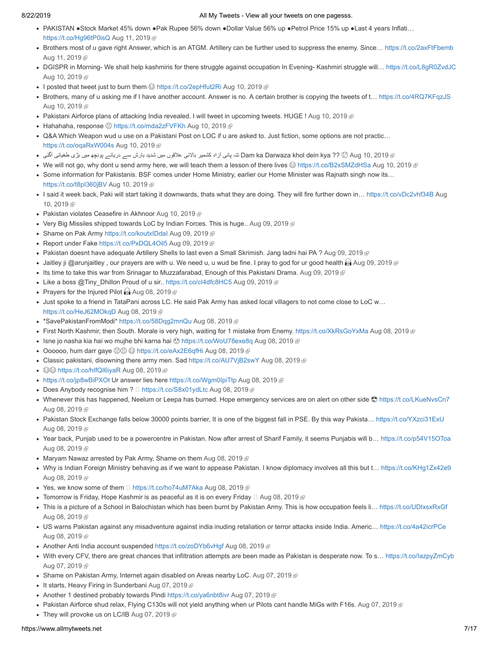- PAKISTAN ●Stock Market 45% down ●Pak Rupee 56% down ●Dollar Value 56% up ●Petrol Price 15% up ●Last 4 years Inflati… [https://t.co/Hg96tP0isQ](http://t.co/Hg96tP0isQ) [Aug 11, 2019](https://twitter.com/stranger0968/status/1160471367868997633) @
- Brothers most of u gave right Answer, which is an ATGM. Artillery can be further used to suppress the enemy. Since… [https://t.co/2axFtFbemb](http://t.co/2axFtFbemb) [Aug 11, 2019](https://twitter.com/stranger0968/status/1160465965127069697) @
- DGISPR in Morning- We shall help kashmiris for there struggle against occupation In Evening- Kashmiri struggle will… [https://t.co/L8gR0ZvdJC](http://t.co/L8gR0ZvdJC) [Aug 10, 2019](https://twitter.com/stranger0968/status/1160224925447348224) @
- I posted that tweet just to burn them  $\bigcirc$  [https://t.co/2epHfut2Ri](http://t.co/2epHfut2Ri) [Aug 10, 2019](https://twitter.com/stranger0968/status/1160218495184977921)
- Brothers, many of u asking me if I have another account. Answer is no. A certain brother is copying the tweets of t… [https://t.co/4RQ7KFqzJS](http://t.co/4RQ7KFqzJS) [Aug 10, 2019](https://twitter.com/stranger0968/status/1160218199746629639) ®
- Pakistani Airforce plans of attacking India revealed. I will tweet in upcoming tweets. HUGE ! [Aug 10, 2019](https://twitter.com/stranger0968/status/1160212267100602368) @
- Hahahaha, response (3) [https://t.co/mda2zFVFKh](http://t.co/mda2zFVFKh) [Aug 10, 2019](https://twitter.com/stranger0968/status/1160159198736371712) <sup>®</sup>
- Q&A Which Weapon wud u use on a Pakistani Post on LOC if u are asked to. Just fiction, some options are not practic… [https://t.co/oqaRxW004s](http://t.co/oqaRxW004s) [Aug 10, 2019](https://twitter.com/stranger0968/status/1160137031344939009)
- [2019 10, Aug](https://twitter.com/stranger0968/status/1160094009420857345) ?? kya dein khol Darwaza ka Dam تتہ پانی آزاد کشمیر بالائی علاقوں میں شدید بارش سے دریائے پونچھ میں بڑی طغیانی آگئی
- We will not go, why dont u send army here, we will teach them a lesson of there lives  $\circledast$  [https://t.co/B2xSMZdHSa](http://t.co/B2xSMZdHSa) [Aug 10, 2019](https://twitter.com/stranger0968/status/1160093743501979648)  $\circledast$
- Some information for Pakistanis. BSF comes under Home Ministry, earlier our Home Minister was Rajnath singh now its… [https://t.co/t8pI360jBV](http://t.co/t8pI360jBV) [Aug 10, 2019](https://twitter.com/stranger0968/status/1160060260180221953)
- I said it week back, Paki will start taking it downwards, thats what they are doing. They will fire further down in... https://t.co/vDc2vhf34B Aug 10, 2019
- Pakistan violates Ceasefire in Akhnoor [Aug 10, 2019](https://twitter.com/stranger0968/status/1160045296644059136)
- Very Big Missiles shipped towards LoC by Indian Forces. This is huge.. [Aug 09, 2019](https://twitter.com/stranger0968/status/1159903170484682753)  $\mathbb P$
- Shame on Pak Army https://t.co/koutxIDdal [Aug 09, 2019](https://twitter.com/stranger0968/status/1159898905632485378) @
- Report under Fake [https://t.co/PxDQL4Oil5](http://t.co/PxDQL4Oil5) [Aug 09, 2019](https://twitter.com/stranger0968/status/1159888995490230272) <sup>®</sup>
- Pakistan doesnt have adequate Artillery Shells to last even a Small Skrimish. Jang ladni hai PA ? [Aug 09, 2019](https://twitter.com/stranger0968/status/1159886155321446401) @
- Jaitley ji @arunjaitley, our prayers are with u. We need u, u wud be fine. I pray to god for ur good health  $\hat{M}$  [Aug 09, 2019](https://twitter.com/stranger0968/status/1159837927368609796)  $\hat{F}$
- Its time to take this war from Srinagar to Muzzafarabad, Enough of this Pakistani Drama. [Aug 09, 2019](https://twitter.com/stranger0968/status/1159826361357221890)  $\epsilon$
- Like a boss @Tiny\_Dhillon Proud of u sir.. https://t.co/cl4dfc8HC5 [Aug 09, 2019](https://twitter.com/stranger0968/status/1159655400536510464)
- Prayers for the Injured Pilot  $\widehat{M}$  [Aug 08, 2019](https://twitter.com/stranger0968/status/1159501117912440833)  $\widehat{P}$
- Just spoke to a friend in TataPani across LC. He said Pak Army has asked local villagers to not come close to LoC w… [https://t.co/HeJ62MOkqD](http://t.co/HeJ62MOkqD) [Aug 08, 2019](https://twitter.com/stranger0968/status/1159492471291883520)
- \*SavePakistanFromModi\* [https://t.co/58Dqg2mnQu](http://t.co/58Dqg2mnQu) [Aug 08, 2019](https://twitter.com/stranger0968/status/1159477041777008641)
- First North Kashmir, then South. Morale is very high, waiting for 1 mistake from Enemy. [https://t.co/XkRsGoYxMa](http://t.co/XkRsGoYxMa) [Aug 08, 2019](https://twitter.com/stranger0968/status/1159465900350824450) ®
- Isne jo nasha kia hai wo mujhe bhi karna hai  $\odot$  [https://t.co/WoU78exe8q](http://t.co/WoU78exe8q) [Aug 08, 2019](https://twitter.com/stranger0968/status/1159464439013347328) @
- Oooooo, hum darr gaye [https://t.co/eAx2E6qfHi](http://t.co/eAx2E6qfHi) [Aug 08, 2019](https://twitter.com/stranger0968/status/1159458921582682113)
- Classic pakistani, disowning there army men. Sad [https://t.co/AU7VjB2swY](http://t.co/AU7VjB2swY) [Aug 08, 2019](https://twitter.com/stranger0968/status/1159456596662996994)  $\oplus$
- ©© [https://t.co/hIfQI6iyaR](http://t.co/hIfQI6iyaR) [Aug 08, 2019](https://twitter.com/stranger0968/status/1159456414294671360) @
- [https://t.co/jp8wBiPXOt](http://t.co/jp8wBiPXOt) Ur answer lies here [https://t.co/Wgm0IpiTtp](http://t.co/Wgm0IpiTtp) [Aug 08, 2019](https://twitter.com/stranger0968/status/1159455868997386241) @
- Does Anybody recognise him ? □ [https://t.co/S8x01ydLtc](http://t.co/S8x01ydLtc) [Aug 08, 2019](https://twitter.com/stranger0968/status/1159454417948569602) @
- Whenever this has happened, Neelum or Leepa has burned. Hope emergency services are on alert on other side  $\circledR$  [https://t.co/LKueNvsCn7](http://t.co/LKueNvsCn7) [Aug 08, 2019](https://twitter.com/stranger0968/status/1159445932422979584) @
- Pakistan Stock Exchange falls below 30000 points barrier, It is one of the biggest fall in PSE. By this way Pakista... [https://t.co/YXzci31ExU](http://t.co/YXzci31ExU) [Aug 08, 2019](https://twitter.com/stranger0968/status/1159437087776677888) &
- Year back, Punjab used to be a powercentre in Pakistan. Now after arrest of Sharif Family, it seems Punjabis will b… [https://t.co/p54V15OToa](http://t.co/p54V15OToa) [Aug 08, 2019](https://twitter.com/stranger0968/status/1159386938006278149) @
- Maryam Nawaz arrested by Pak Army, Shame on them [Aug 08, 2019](https://twitter.com/stranger0968/status/1159381770028105728)  $\Phi$
- Why is Indian Foreign Ministry behaving as if we want to appease Pakistan. I know diplomacy involves all this but t… [https://t.co/KHg1Zx42e9](http://t.co/KHg1Zx42e9) [Aug 08, 2019](https://twitter.com/stranger0968/status/1159361175928262656) &
- Yes, we know some of them  $□$  [https://t.co/ho74uM7Aka](http://t.co/ho74uM7Aka) [Aug 08, 2019](https://twitter.com/stranger0968/status/1159359830202540032)  $\textcircled{F}$
- Tomorrow is Friday, Hope Kashmir is as peaceful as it is on every Friday  $\Box$  [Aug 08, 2019](https://twitter.com/stranger0968/status/1159334442395217920)  $\mathbb P$
- This is a picture of a School in Balochistan which has been burnt by Pakistan Army. This is how occupation feels li… [https://t.co/UDIxsxRxGf](http://t.co/UDIxsxRxGf) [Aug 08, 2019](https://twitter.com/stranger0968/status/1159309856307851266) @
- US warns Pakistan against any misadventure against india inuding retaliation or terror attacks inside India. Americ… [https://t.co/4a42icrPCe](http://t.co/4a42icrPCe) [Aug 08, 2019](https://twitter.com/stranger0968/status/1159305345430360065) &
- Another Anti India account suspended [https://t.co/zoDYb6vHgf](http://t.co/zoDYb6vHgf) [Aug 08, 2019](https://twitter.com/stranger0968/status/1159288607401762818)
- With every CFV, there are great chances that infiltration attempts are been made as Pakistan is desperate now. To s… [https://t.co/IazpyZmCyb](http://t.co/IazpyZmCyb) [Aug 07, 2019](https://twitter.com/stranger0968/status/1159164570503536640)
- Shame on Pakistan Army, Internet again disabled on Areas nearby LoC. [Aug 07, 2019](https://twitter.com/stranger0968/status/1159155323204018176)  $\mathbb P$
- It starts, Heavy Firing in Sunderbani [Aug 07, 2019](https://twitter.com/stranger0968/status/1159149080456548352)
- Another 1 destined probably towards Pindi [https://t.co/ya6nbt8ivr](http://t.co/ya6nbt8ivr) [Aug 07, 2019](https://twitter.com/stranger0968/status/1159143555446657024)
- Pakistan Airforce shud relax, Flying C130s will not yield anything when ur Pilots cant handle MiGs with F16s. [Aug 07, 2019](https://twitter.com/stranger0968/status/1159136725110706176)
- They will provoke us on LC/IB [Aug 07, 2019](https://twitter.com/stranger0968/status/1159104463401037827)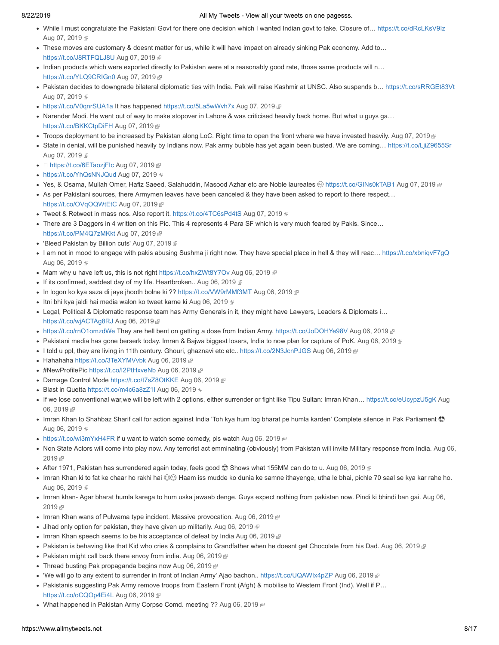- While I must congratulate the Pakistani Govt for there one decision which I wanted Indian govt to take. Closure of… [https://t.co/dRcLKsV9Iz](http://t.co/dRcLKsV9Iz) [Aug 07, 2019](https://twitter.com/stranger0968/status/1159100053279182848) @
- These moves are customary & doesnt matter for us, while it will have impact on already sinking Pak economy. Add to… [https://t.co/J8RTFQLJ8U](http://t.co/J8RTFQLJ8U) [Aug 07, 2019](https://twitter.com/stranger0968/status/1159099452415717381)
- Indian products which were exported directly to Pakistan were at a reasonably good rate, those same products will n… [https://t.co/YLQ9CRIGn0](http://t.co/YLQ9CRIGn0) [Aug 07, 2019](https://twitter.com/stranger0968/status/1159098487788756993) &
- Pakistan decides to downgrade bilateral diplomatic ties with India. Pak will raise Kashmir at UNSC. Also suspends b... [https://t.co/sRRGEt83Vt](http://t.co/sRRGEt83Vt) [Aug 07, 2019](https://twitter.com/stranger0968/status/1159096425797607425) @
- [https://t.co/V0qnrSUA1a](http://t.co/V0qnrSUA1a) It has happened [https://t.co/5La5wWvh7x](http://t.co/5La5wWvh7x) [Aug 07, 2019](https://twitter.com/stranger0968/status/1159077744992555008)
- Narender Modi. He went out of way to make stopover in Lahore & was criticised heavily back home. But what u guys ga... [https://t.co/BKKCtpDiFH](http://t.co/BKKCtpDiFH) [Aug 07, 2019](https://twitter.com/stranger0968/status/1159064744009052164) 图
- Troops deployment to be increased by Pakistan along LoC. Right time to open the front where we have invested heavily. [Aug 07, 2019](https://twitter.com/stranger0968/status/1159061699586080768)
- State in denial, will be punished heavily by Indians now. Pak army bubble has yet again been busted. We are coming... [https://t.co/LjiZ9655Sr](http://t.co/LjiZ9655Sr) [Aug 07, 2019](https://twitter.com/stranger0968/status/1159050984775192577) @
- □ [https://t.co/6ETaozjFIc](http://t.co/6ETaozjFIc) [Aug 07, 2019](https://twitter.com/stranger0968/status/1159047801004789760) @
- [https://t.co/YhQsNNJQud](http://t.co/YhQsNNJQud) [Aug 07, 2019](https://twitter.com/stranger0968/status/1159030163478208512) <sup>®</sup>
- Yes, & Osama, Mullah Omer, Hafiz Saeed, Salahuddin, Masood Azhar etc are Noble laureates ⊜ [https://t.co/GINs0kTAB1](http://t.co/GINs0kTAB1) [Aug 07, 2019](https://twitter.com/stranger0968/status/1159023134625824768) @
- As per Pakistani sources, there Armymen leaves have been canceled & they have been asked to report to there respect… [https://t.co/OVqOQWtEtC](http://t.co/OVqOQWtEtC) [Aug 07, 2019](https://twitter.com/stranger0968/status/1159016568182976513)
- Tweet & Retweet in mass nos. Also report it. [https://t.co/4TC6sPd4tS](http://t.co/4TC6sPd4tS) [Aug 07, 2019](https://twitter.com/stranger0968/status/1159002006088028160)
- There are 3 Daggers in 4 written on this Pic. This 4 represents 4 Para SF which is very much feared by Pakis. Since… [https://t.co/PM4Q7zMKkt](http://t.co/PM4Q7zMKkt) [Aug 07, 2019](https://twitter.com/stranger0968/status/1158988501880197120)
- 'Bleed Pakistan by Billion cuts' [Aug 07, 2019](https://twitter.com/stranger0968/status/1158926943384981505)
- I am not in mood to engage with pakis abusing Sushma ji right now. They have special place in hell & they will reac... [https://t.co/xbniqvF7gQ](http://t.co/xbniqvF7gQ) [Aug 06, 2019](https://twitter.com/stranger0968/status/1158805180412022784) @
- Mam why u have left us, this is not right [https://t.co/hxZWt8Y7Ov](http://t.co/hxZWt8Y7Ov) [Aug 06, 2019](https://twitter.com/stranger0968/status/1158796910288867328)  $\mathbb P$
- If its confirmed, saddest day of my life. Heartbroken.. [Aug 06, 2019](https://twitter.com/stranger0968/status/1158796265028804611)  $\mathbb P$
- In logon ko kya saza di jaye jhooth bolne ki ?? [https://t.co/VW9rMMf3MT](http://t.co/VW9rMMf3MT) [Aug 06, 2019](https://twitter.com/stranger0968/status/1158791012430614531) @
- Itni bhi kya jaldi hai media walon ko tweet karne ki [Aug 06, 2019](https://twitter.com/stranger0968/status/1158789576741273601)
- Legal, Political & Diplomatic response team has Army Generals in it, they might have Lawyers, Leaders & Diplomats i… [https://t.co/wjACTAg8RJ](http://t.co/wjACTAg8RJ) [Aug 06, 2019](https://twitter.com/stranger0968/status/1158773101532012549)
- [https://t.co/rnO1omzdWe](http://t.co/rnO1omzdWe) They are hell bent on getting a dose from Indian Army. [https://t.co/JoDOHYe98V](http://t.co/JoDOHYe98V) [Aug 06, 2019](https://twitter.com/stranger0968/status/1158769550944612353)
- Pakistani media has gone berserk today. Imran & Bajwa biggest losers, India to now plan for capture of PoK. [Aug 06, 2019](https://twitter.com/stranger0968/status/1158761371691077633) ®
- I told u ppl, they are living in 11th century. Ghouri, ghaznavi etc etc.. [https://t.co/2N3JcnPJGS](http://t.co/2N3JcnPJGS) [Aug 06, 2019](https://twitter.com/stranger0968/status/1158759695403954177) ⊕
- Hahahaha [https://t.co/3TeXYMVvbk](http://t.co/3TeXYMVvbk) [Aug 06, 2019](https://twitter.com/stranger0968/status/1158753144274165760)
- #NewProfilePic [https://t.co/I2PtHxveNb](http://t.co/I2PtHxveNb) [Aug 06, 2019](https://twitter.com/stranger0968/status/1158752500750540800) *®*
- Damage Control Mode [https://t.co/t7sZ8OtKKE](http://t.co/t7sZ8OtKKE) [Aug 06, 2019](https://twitter.com/stranger0968/status/1158730761111003136)
- Blast in Quetta [https://t.co/m4c6a8zZ1I](http://t.co/m4c6a8zZ1I) [Aug 06, 2019](https://twitter.com/stranger0968/status/1158726625946677254) <a>
- [If we lose conventional war,we will be left with 2 options, either surrender or fight like Tipu Sultan: Imran Khan… https://t.co/eUcypzU5gK](https://twitter.com/stranger0968/status/1158722949093965826) Aug 06.2019 图
- Imran Khan to Shahbaz Sharif call for action against India 'Toh kya hum log bharat pe humla karden' Complete silence in Pak Parliament [Aug 06, 2019](https://twitter.com/stranger0968/status/1158720808832946176) @
- [https://t.co/wi3mYxH4FR](http://t.co/wi3mYxH4FR) if u want to watch some comedy, pls watch [Aug 06, 2019](https://twitter.com/stranger0968/status/1158719687569616898)  $\mathbb{F}$
- [Non State Actors will come into play now. Any terrorist act emminating \(obviously\) from Pakistan will invite Military response from India. Aug 06,](https://twitter.com/stranger0968/status/1158711562208731141) 2019 雨
- After 1971, Pakistan has surrendered again today, feels good  $\circledast$  Shows what 155MM can do to u. [Aug 06, 2019](https://twitter.com/stranger0968/status/1158709949981241344)  $\circledast$
- Imran Khan ki to fat ke chaar ho rakhi hai  $\circledast$  Haam iss mudde ko dunia ke samne ithayenge, utha le bhai, pichle 70 saal se kya kar rahe ho. [Aug 06, 2019](https://twitter.com/stranger0968/status/1158707339018604544)
- [Imran khan- Agar bharat humla karega to hum uska jawaab denge. Guys expect nothing from pakistan now. Pindi ki bhindi ban gai. Aug 06,](https://twitter.com/stranger0968/status/1158705921796825088) 2019
- Imran Khan wans of Pulwama type incident. Massive provocation. [Aug 06, 2019](https://twitter.com/stranger0968/status/1158705209423618049)
- $\bullet$  Jihad only option for pakistan, they have given up militarily. [Aug 06, 2019](https://twitter.com/stranger0968/status/1158704813632344071)  $\bullet$
- Imran Khan speech seems to be his acceptance of defeat by India [Aug 06, 2019](https://twitter.com/stranger0968/status/1158702069106323457)  $\mathbb P$
- Pakistan is behaving like that Kid who cries & complains to Grandfather when he doesnt get Chocolate from his Dad. [Aug 06, 2019](https://twitter.com/stranger0968/status/1158696755594170368)
- $\bullet$  Pakistan might call back there envoy from india. [Aug 06, 2019](https://twitter.com/stranger0968/status/1158690975956516864)  $\textcolor{black}{\circledast}$
- Thread busting Pak propaganda begins now [Aug 06, 2019](https://twitter.com/stranger0968/status/1158683708007866369)
- We will go to any extent to surrender in front of Indian Army' Ajao bachon.. [https://t.co/UQAWIx4pZP](http://t.co/UQAWIx4pZP) [Aug 06, 2019](https://twitter.com/stranger0968/status/1158674206529396736) @
- Pakistanis suggesting Pak Army remove troops from Eastern Front (Afgh) & mobilise to Western Front (Ind). Well if P… [https://t.co/oCQOp4Ei4L](http://t.co/oCQOp4Ei4L) [Aug 06, 2019](https://twitter.com/stranger0968/status/1158670370263752704)
- What happened in Pakistan Army Corpse Comd. meeting ?? [Aug 06, 2019](https://twitter.com/stranger0968/status/1158666386224373760) @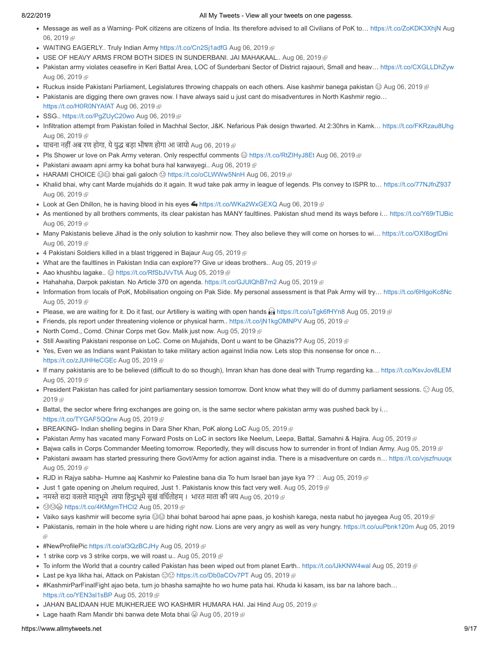- Message as well as a Warning- PoK citizens are citizens of India. Its therefore advised to all Civilians of PoK to... https://t.co/ZoKDK3XhjN Aug 06.2019 图
- WAITING EAGERLY.. Truly Indian Army [https://t.co/Cn2Sj1adfG](http://t.co/Cn2Sj1adfG) [Aug 06, 2019](https://twitter.com/stranger0968/status/1158650294810664960) @
- USE OF HEAVY ARMS FROM BOTH SIDES IN SUNDERBANI. JAI MAHAKAAL.. [Aug 06, 2019](https://twitter.com/stranger0968/status/1158640968939331584) ®
- Pakistan army violates ceasefire in Keri Battal Area, LOC of Sunderbani Sector of District rajaouri, Small and heav… [https://t.co/CXGLLDhZyw](http://t.co/CXGLLDhZyw) [Aug 06, 2019](https://twitter.com/stranger0968/status/1158640421964328960)
- Ruckus inside Pakistani Parliament, Legislatures throwing chappals on each others. Aise kashmir banega pakistan  $\circledast$  [Aug 06, 2019](https://twitter.com/stranger0968/status/1158640253646884865)  $\circledast$
- Pakistanis are digging there own graves now. I have always said u just cant do misadventures in North Kashmir regio… [https://t.co/H0R0NYAfAT](http://t.co/H0R0NYAfAT) [Aug 06, 2019](https://twitter.com/stranger0968/status/1158639985148473345)
- SSG.. [https://t.co/PgZUyC20wo](http://t.co/PgZUyC20wo) [Aug 06, 2019](https://twitter.com/stranger0968/status/1158637320570048513) <sup>®</sup>
- Infiltration attempt from Pakistan foiled in Machhal Sector, J&K. Nefarious Pak design thwarted. At 2:30hrs in Kamk… [https://t.co/FKRzau8Uhg](http://t.co/FKRzau8Uhg) [Aug 06, 2019](https://twitter.com/stranger0968/status/1158635426640486401)
- याचना नहीं अब रण होगा, ये युद्ध बड़ा भीषण होगा आ जायो [Aug 06, 2019](https://twitter.com/stranger0968/status/1158635255311544320) ®
- Pls Shower ur love on Pak Army veteran. Only respectful comments 
ittps://t.co/RtZIHyJ8Et [Aug 06, 2019](https://twitter.com/stranger0968/status/1158631572075143169) @
- Pakistani awaam apni army ka bohat bura hal karwayegi.. [Aug 06, 2019](https://twitter.com/stranger0968/status/1158628288069275648)
- HARAMI CHOICE S bhai gali galoch © [https://t.co/oCLWWw5NnH](http://t.co/oCLWWw5NnH) [Aug 06, 2019](https://twitter.com/stranger0968/status/1158623480327409665) @
- Khalid bhai, why cant Marde mujahids do it again. It wud take pak army in league of legends. Pls convey to ISPR to... [https://t.co/77NJfnZ937](http://t.co/77NJfnZ937) [Aug 06, 2019](https://twitter.com/stranger0968/status/1158622664057151488) @
- Look at Gen Dhillon, he is having blood in his eyes  $\bigoplus$  [https://t.co/WKa2WxGEXQ](http://t.co/WKa2WxGEXQ) [Aug 06, 2019](https://twitter.com/stranger0968/status/1158621848764112896)  $\bigoplus$
- As mentioned by all brothers comments, its clear pakistan has MANY faultlines. Pakistan shud mend its ways before i… [https://t.co/Y69rTlJBic](http://t.co/Y69rTlJBic) [Aug 06, 2019](https://twitter.com/stranger0968/status/1158620640385142785)
- Many Pakistanis believe Jihad is the only solution to kashmir now. They also believe they will come on horses to wi… [https://t.co/OXI8ogtDni](http://t.co/OXI8ogtDni) [Aug 06, 2019](https://twitter.com/stranger0968/status/1158614116929548298)
- 4 Pakistani Soldiers killed in a blast triggered in Bajaur [Aug 05, 2019](https://twitter.com/stranger0968/status/1158437426144174080)
- $\bullet$  What are the faultlines in Pakistan India can explore?? Give ur ideas brothers.. [Aug 05, 2019](https://twitter.com/stranger0968/status/1158432051512532997)  $\circledast$
- Aao khushbu lagake..  $\circledcirc$  [https://t.co/RfSbJVvTtA](http://t.co/RfSbJVvTtA) [Aug 05, 2019](https://twitter.com/stranger0968/status/1158429177441222656)
- Hahahaha, Darpok pakistan. No Article 370 on agenda. https://t.co/GJUIQhB7m2 [Aug 05, 2019](https://twitter.com/stranger0968/status/1158427533433376768) @
- Information from locals of PoK, Mobilisation ongoing on Pak Side. My personal assessment is that Pak Army will try… [https://t.co/6HlgoKc8Nc](http://t.co/6HlgoKc8Nc) [Aug 05, 2019](https://twitter.com/stranger0968/status/1158411709192650753) @
- Please, we are waiting for it. Do it fast, our Artillery is waiting with open hands  $\mathbf{B}$  [https://t.co/uTgk6fHYn8](http://t.co/uTgk6fHYn8) [Aug 05, 2019](https://twitter.com/stranger0968/status/1158406285223612416)
- Friends, pls report under threatening violence or physical harm.. [https://t.co/jN1kgOMNPV](http://t.co/jN1kgOMNPV) [Aug 05, 2019](https://twitter.com/stranger0968/status/1158405530408255488)
- North Comd., Comd. Chinar Corps met Gov. Malik just now. [Aug 05, 2019](https://twitter.com/stranger0968/status/1158395693947486208)
- Still Awaiting Pakistani response on LoC. Come on Mujahids, Dont u want to be Ghazis?? [Aug 05, 2019](https://twitter.com/stranger0968/status/1158386480441520128) ®
- Yes, Even we as Indians want Pakistan to take military action against India now. Lets stop this nonsense for once n… [https://t.co/zJUHHeCGEc](http://t.co/zJUHHeCGEc) [Aug 05, 2019](https://twitter.com/stranger0968/status/1158368395714318337)
- If many pakistanis are to be believed (difficult to do so though), Imran khan has done deal with Trump regarding ka… [https://t.co/KsvJov8LEM](http://t.co/KsvJov8LEM) [Aug 05, 2019](https://twitter.com/stranger0968/status/1158356705278930944) @
- [President Pakistan has called for joint parliamentary session tomorrow. Dont know what they will do of dummy parliament sessions.](https://twitter.com/stranger0968/status/1158355130477158403)  Aug 05, 2019 雨
- Battal, the sector where firing exchanges are going on, is the same sector where pakistan army was pushed back by i… [https://t.co/TYGAF5QQrw](http://t.co/TYGAF5QQrw) [Aug 05, 2019](https://twitter.com/stranger0968/status/1158334990465359872)
- BREAKING- Indian shelling begins in Dara Sher Khan, PoK along LoC [Aug 05, 2019](https://twitter.com/stranger0968/status/1158314181256499201) @
- Pakistan Army has vacated many Forward Posts on LoC in sectors like Neelum, Leepa, Battal, Samahni & Hajira. [Aug 05, 2019](https://twitter.com/stranger0968/status/1158313794608799744)
- Bajwa calls in Corps Commander Meeting tomorrow. Reportedly, they will discuss how to surrender in front of Indian Army. [Aug 05, 2019](https://twitter.com/stranger0968/status/1158305676420157440) @
- Pakistani awaam has started pressuring there Govt/Army for action against india. There is a misadventure on cards n... [https://t.co/vjszfnuuqx](http://t.co/vjszfnuuqx) [Aug 05, 2019](https://twitter.com/stranger0968/status/1158299906563612672) &
- RJD in Rajya sabha- Humne aaj Kashmir ko Palestine bana dia To hum Israel ban jaye kya ??  $\Box$  [Aug 05, 2019](https://twitter.com/stranger0968/status/1158295431870394368)  $\Box$
- Just 1 gate opening on Jhelum required, Just 1. Pakistanis know this fact very well. [Aug 05, 2019](https://twitter.com/stranger0968/status/1158287844592574465)
- नमस्ते सदा वत्सले मातृभूमे त्वया हिन्दुभूमे सुखं वर्धितोहम् । भारत माता की जय [Aug 05, 2019](https://twitter.com/stranger0968/status/1158285509988376577) @
- 398 [https://t.co/4KMgmTHCI2](http://t.co/4KMgmTHCI2) [Aug 05, 2019](https://twitter.com/stranger0968/status/1158284358488403968) <sup>®</sup>
- Vaiko says kashmir will become syria  $\bigotimes$  bhai bohat barood hai apne paas, jo koshish karega, nesta nabut ho jayegea [Aug 05, 2019](https://twitter.com/stranger0968/status/1158283435653390336)  $\mathbb P$
- [Pakistanis, remain in the hole where u are hiding right now. Lions are very angry as well as very hungry. https://t.co/uuPbnk120m](https://twitter.com/stranger0968/status/1158279037778898949) Aug 05, 2019
- ŵ
- #NewProfilePic [https://t.co/af3QzBCJHy](http://t.co/af3QzBCJHy) [Aug 05, 2019](https://twitter.com/stranger0968/status/1158276376379744256) ®
- $\bullet$  1 strike corp vs 3 strike corps, we will roast u.. [Aug 05, 2019](https://twitter.com/stranger0968/status/1158275360137588736)  $\text{F}$
- To inform the World that a country called Pakistan has been wiped out from planet Earth.. [https://t.co/lJkKNW4wal](http://t.co/lJkKNW4wal) [Aug 05, 2019](https://twitter.com/stranger0968/status/1158273060342046721) @
- Last pe kya likha hai, Attack on Pakistan  $\textcircled{ } \odot \textcircled{ }$  [https://t.co/Db0aCOv7PT](http://t.co/Db0aCOv7PT) [Aug 05, 2019](https://twitter.com/stranger0968/status/1158269538422722560)  $\textcircled{ }$
- #KashmirParFinalFight ajao beta, tum jo bhasha samajhte ho wo hume pata hai. Khuda ki kasam, iss bar na lahore bach… [https://t.co/YEN3sl1sBP](http://t.co/YEN3sl1sBP) [Aug 05, 2019](https://twitter.com/stranger0968/status/1158267967035072512)
- JAHAN BALIDAAN HUE MUKHERJEE WO KASHMIR HUMARA HAI. Jai Hind [Aug 05, 2019](https://twitter.com/stranger0968/status/1158263956194172928) ®
- Lage haath Ram Mandir bhi banwa dete Mota bhai  $\circledcirc$  [Aug 05, 2019](https://twitter.com/stranger0968/status/1158257502431141889)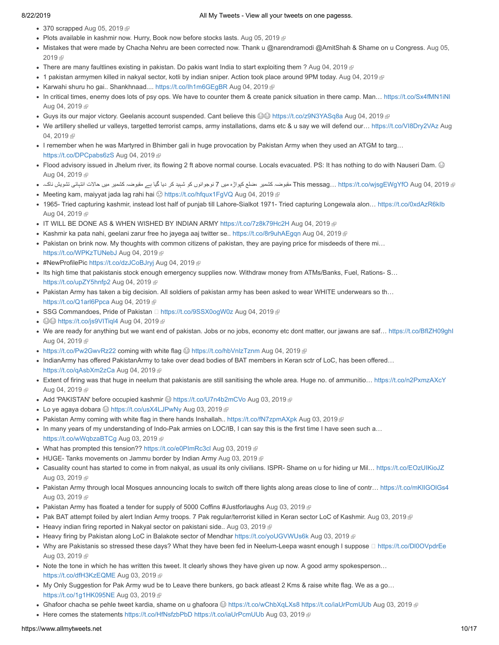- $\bullet$  370 scrapped [Aug 05, 2019](https://twitter.com/stranger0968/status/1158253059866337281)  $\mathbb{F}$
- Plots available in kashmir now. Hurry, Book now before stocks lasts. [Aug 05, 2019](https://twitter.com/stranger0968/status/1158229681423966208)  $\mathbb{F}$
- [Mistakes that were made by Chacha Nehru are been corrected now. Thank u @narendramodi @AmitShah & Shame on u Congress. Aug 05,](https://twitter.com/stranger0968/status/1158206500290158592) 2019 雨
- There are many faultlines existing in pakistan. Do pakis want India to start exploiting them ? [Aug 04, 2019](https://twitter.com/stranger0968/status/1158101191424905216)  $\mathbb F$
- 1 pakistan armymen killed in nakyal sector, kotli by indian sniper. Action took place around 9PM today. [Aug 04, 2019](https://twitter.com/stranger0968/status/1158092778829701120)
- Karwahi shuru ho gai.. Shankhnaad.... [https://t.co/Ih1m6GEgBR](http://t.co/Ih1m6GEgBR) [Aug 04, 2019](https://twitter.com/stranger0968/status/1158076917142020098)
- In critical times, enemy does lots of psy ops. We have to counter them & create panick situation in there camp. Man... https://t.co/Sx4fMN1iNI [Aug 04, 2019](https://twitter.com/stranger0968/status/1158073466559422464) @
- Guys its our major victory. Geelanis account suspended. Cant believe this  $\circledcirc\circ$  [https://t.co/z9N3YASq8a](http://t.co/z9N3YASq8a) [Aug 04, 2019](https://twitter.com/stranger0968/status/1158063028748861440)
- [We artillery shelled ur valleys, targetted terrorist camps, army installations, dams etc & u say we will defend our… https://t.co/VI8Dry2VAz](https://twitter.com/stranger0968/status/1158028881204355072) Aug 04, 2019
- I remember when he was Martyred in Bhimber gali in huge provocation by Pakistan Army when they used an ATGM to targ… [https://t.co/DPCpabs6zS](http://t.co/DPCpabs6zS) [Aug 04, 2019](https://twitter.com/stranger0968/status/1158022550145908736)
- Flood advisory issued in Jhelum river, its flowing 2 ft above normal course. Locals evacuated. PS: It has nothing to do with Nauseri Dam.  $\odot$ [Aug 04, 2019](https://twitter.com/stranger0968/status/1158011901529513986) @
- @Thismessag… https://t.co/wjsgEWgYfO Aug 04, 2019 مقبوضہ کشمیر ،ضلع کپواڑه میں 7 نوجوانوں کو شبید کر دیا گیا ہے مقبوضہ کشمیر میں حالات انتہائی تشویش ناک۔ ●
- Meeting kam, maiyyat jada lag rahi hai  $\odot$  [https://t.co/hfqux1FgVQ](http://t.co/hfqux1FgVQ) [Aug 04, 2019](https://twitter.com/stranger0968/status/1158003874076270593)
- 1965- Tried capturing kashmir, instead lost half of punjab till Lahore-Sialkot 1971- Tried capturing Longewala alon... [https://t.co/0xdAzR6kIb](http://t.co/0xdAzR6kIb) [Aug 04, 2019](https://twitter.com/stranger0968/status/1157991338111094785) @
- IT WILL BE DONE AS & WHEN WISHED BY INDIAN ARMY [https://t.co/7z8k79Hc2H](http://t.co/7z8k79Hc2H) [Aug 04, 2019](https://twitter.com/stranger0968/status/1157948837316694016) @
- Kashmir ka pata nahi, geelani zarur free ho jayega aaj twitter se.. [https://t.co/8r9uhAEgqn](http://t.co/8r9uhAEgqn) [Aug 04, 2019](https://twitter.com/stranger0968/status/1157933211781148672) @
- Pakistan on brink now. My thoughts with common citizens of pakistan, they are paying price for misdeeds of there mi... [https://t.co/WPKzTUNebJ](http://t.co/WPKzTUNebJ) [Aug 04, 2019](https://twitter.com/stranger0968/status/1157928123100532741)
- #NewProfilePic [https://t.co/dzJCoBJryj](http://t.co/dzJCoBJryj) [Aug 04, 2019](https://twitter.com/stranger0968/status/1157926697469186049) @
- Its high time that pakistanis stock enough emergency supplies now. Withdraw money from ATMs/Banks, Fuel, Rations- S... [https://t.co/upZY5hnfp2](http://t.co/upZY5hnfp2) [Aug 04, 2019](https://twitter.com/stranger0968/status/1157924414572441605)
- Pakistan Army has taken a big decision. All soldiers of pakistan army has been asked to wear WHITE underwears so th… [https://t.co/Q1arl6Ppca](http://t.co/Q1arl6Ppca) [Aug 04, 2019](https://twitter.com/stranger0968/status/1157901771232223232) @
- SSG Commandoes, Pride of Pakistan  $\Box$  [https://t.co/9SSX0ogW0z](http://t.co/9SSX0ogW0z) [Aug 04, 2019](https://twitter.com/stranger0968/status/1157900933612867584)  $\mathbb{F}$
- ©© [https://t.co/js9VITiql4](http://t.co/js9VITiql4) [Aug 04, 2019](https://twitter.com/stranger0968/status/1157895110862000128) @
- We are ready for anything but we want end of pakistan. Jobs or no jobs, economy etc dont matter, our jawans are saf… [https://t.co/BfIZH09ghI](http://t.co/BfIZH09ghI) [Aug 04, 2019](https://twitter.com/stranger0968/status/1157892348224954368) &
- [https://t.co/Pw2GwvRz22](http://t.co/Pw2GwvRz22) coming with white flag  $\circledast$  [https://t.co/hbVnlzTznm](http://t.co/hbVnlzTznm) [Aug 04, 2019](https://twitter.com/stranger0968/status/1157875930125209601)  $\circledast$
- IndianArmy has offered PakistanArmy to take over dead bodies of BAT members in Keran sctr of LoC, has been offered... [https://t.co/qAsbXm2zCa](http://t.co/qAsbXm2zCa) [Aug 04, 2019](https://twitter.com/stranger0968/status/1157856543494328321)
- Extent of firing was that huge in neelum that pakistanis are still sanitising the whole area. Huge no. of ammunitio… [https://t.co/n2PxmzAXcY](http://t.co/n2PxmzAXcY) [Aug 04, 2019](https://twitter.com/stranger0968/status/1157849106339061760) @
- Add 'PAKISTAN' before occupied kashmir  $\circledcirc$  [https://t.co/U7n4b2mCVo](http://t.co/U7n4b2mCVo) [Aug 03, 2019](https://twitter.com/stranger0968/status/1157720162461556736)  $\circledcirc$
- Lo ye agaya dobara  $\circledcirc$  [https://t.co/usX4LJPwNy](http://t.co/usX4LJPwNy) [Aug 03, 2019](https://twitter.com/stranger0968/status/1157717852226330625)
- Pakistan Army coming with white flag in there hands Inshallah.. [https://t.co/fN7zpmAXpk](http://t.co/fN7zpmAXpk) [Aug 03, 2019](https://twitter.com/stranger0968/status/1157717619316625408)  $\oplus$
- In many years of my understanding of Indo-Pak armies on LOC/IB, I can say this is the first time I have seen such a… [https://t.co/wWqbzaBTCg](http://t.co/wWqbzaBTCg) [Aug 03, 2019](https://twitter.com/stranger0968/status/1157711781009092610)
- What has prompted this tension?? [https://t.co/e0PImRc3cl](http://t.co/e0PImRc3cl) [Aug 03, 2019](https://twitter.com/stranger0968/status/1157707093744316417)  $\blacksquare$
- HUGE- Tanks movements on Jammu border by Indian Army [Aug 03, 2019](https://twitter.com/stranger0968/status/1157703785612840960)  $\mathbb P$
- Casuality count has started to come in from nakyal, as usual its only civilians. ISPR- Shame on u for hiding ur Mil… [https://t.co/EOzUIKioJZ](http://t.co/EOzUIKioJZ) [Aug 03, 2019](https://twitter.com/stranger0968/status/1157694191306268673) @
- Pakistan Army through local Mosques announcing locals to switch off there lights along areas close to line of contr... https://t.co/mKlIGOIGs4 [Aug 03, 2019](https://twitter.com/stranger0968/status/1157678151390158849) @
- Pakistan Army has floated a tender for supply of 5000 Coffins #Justforlaughs [Aug 03, 2019](https://twitter.com/stranger0968/status/1157675324303450112)  $\textcircled{F}$
- Pak BAT attempt foiled by alert Indian Army troops. 7 Pak regular/terrorist killed in Keran sector LoC of Kashmir. [Aug 03, 2019](https://twitter.com/stranger0968/status/1157667358992928768)
- Heavy indian firing reported in Nakyal sector on pakistani side.. [Aug 03, 2019](https://twitter.com/stranger0968/status/1157664819220275200) @
- Heavy firing by Pakistan along LoC in Balakote sector of Mendhar [https://t.co/yoUGVWUs6k](http://t.co/yoUGVWUs6k) [Aug 03, 2019](https://twitter.com/stranger0968/status/1157664322551721985) @
- Why are Pakistanis so stressed these days? What they have been fed in Neelum-Leepa wasnt enough I suppose  $\Box$  https://t.co/DI0OVpdrEe [Aug 03, 2019](https://twitter.com/stranger0968/status/1157661174000955394) @
- Note the tone in which he has written this tweet. It clearly shows they have given up now. A good army spokesperson... [https://t.co/dfH3KzEQME](http://t.co/dfH3KzEQME) [Aug 03, 2019](https://twitter.com/stranger0968/status/1157628308718280704) @
- My Only Suggestion for Pak Army wud be to Leave there bunkers, go back atleast 2 Kms & raise white flag. We as a go… [https://t.co/1g1HK095NE](http://t.co/1g1HK095NE) [Aug 03, 2019](https://twitter.com/stranger0968/status/1157625777606864896)
- Ghafoor chacha se pehle tweet kardia, shame on u ghafoora  $\circledast$  [https://t.co/wChbXqLXs8](http://t.co/wChbXqLXs8) [https://t.co/iaUrPcmUUb](http://t.co/iaUrPcmUUb) [Aug 03, 2019](https://twitter.com/stranger0968/status/1157624058571362304)  $\circledast$
- Here comes the statements [https://t.co/HfNsfzbPbD](http://t.co/HfNsfzbPbD) [https://t.co/iaUrPcmUUb](http://t.co/iaUrPcmUUb) [Aug 03, 2019](https://twitter.com/stranger0968/status/1157618658153324545)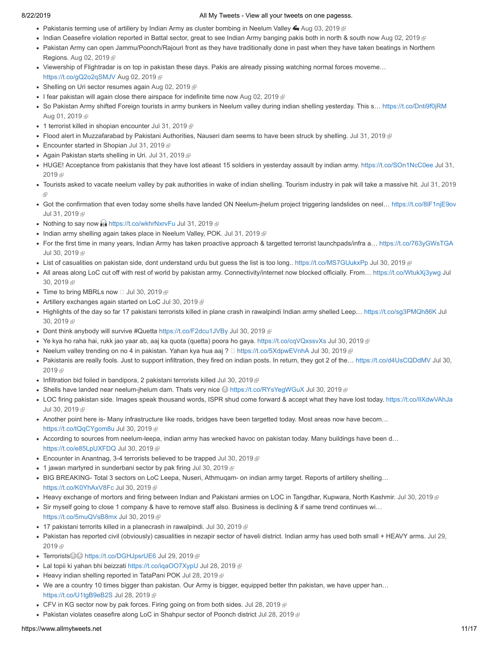- Pakistanis terming use of artillery by Indian Army as cluster bombing in Neelum Valley  $\bigoplus$  [Aug 03, 2019](https://twitter.com/stranger0968/status/1157611419128532993)  $\bigoplus$
- Indian Ceasefire violation reported in Battal sector, great to see Indian Army banging pakis both in north & south now [Aug 02, 2019](https://twitter.com/stranger0968/status/1157308301153054721)
- Pakistan Army can open Jammu/Poonch/Rajouri front as they have traditionally done in past when they have taken beatings in Northern Regions. [Aug 02, 2019](https://twitter.com/stranger0968/status/1157294715160711169) &
- Viewership of Flightradar is on top in pakistan these days. Pakis are already pissing watching normal forces moveme… [https://t.co/gQ2o2qSMJV](http://t.co/gQ2o2qSMJV) [Aug 02, 2019](https://twitter.com/stranger0968/status/1157286010721656833)
- Shelling on Uri sector resumes again [Aug 02, 2019](https://twitter.com/stranger0968/status/1157283928706826240)
- I fear pakistan will again close there airspace for indefinite time now [Aug 02, 2019](https://twitter.com/stranger0968/status/1157165545298378752)  $\mathbb{F}$
- So Pakistan Army shifted Foreign tourists in army bunkers in Neelum valley during indian shelling yesterday. This s… [https://t.co/Dnti9f0jRM](http://t.co/Dnti9f0jRM) [Aug 01, 2019](https://twitter.com/stranger0968/status/1156936414946308096) &
- 1 terrorist killed in shopian encounter [Jul 31, 2019](https://twitter.com/stranger0968/status/1156588777223143424) @
- Flood alert in Muzzafarabad by Pakistani Authorities, Nauseri dam seems to have been struck by shelling. [Jul 31, 2019](https://twitter.com/stranger0968/status/1156562027009257472)
- Encounter started in Shopian [Jul 31, 2019](https://twitter.com/stranger0968/status/1156560250708905984)
- Again Pakistan starts shelling in Uri. [Jul 31, 2019](https://twitter.com/stranger0968/status/1156560153149394946)
- [HUGE! Acceptance from pakistanis that they have lost atleast 15 soldiers in yesterday assault by indian army. https://t.co/SOn1NcC0ee](https://twitter.com/stranger0968/status/1156527261220265984) Jul 31, 2019 雨
- [Tourists asked to vacate neelum valley by pak authorities in wake of indian shelling. Tourism industry in pak will take a massive hit. Jul 31, 2019](https://twitter.com/stranger0968/status/1156516620879179776) ŵ
- Got the confirmation that even today some shells have landed ON Neelum-jhelum project triggering landslides on neel… [https://t.co/8lF1njE9ov](http://t.co/8lF1njE9ov) [Jul 31, 2019](https://twitter.com/stranger0968/status/1156473907513307136) @
- Nothing to say now **a** [https://t.co/wkhrNxrvFu](http://t.co/wkhrNxrvFu) [Jul 31, 2019](https://twitter.com/stranger0968/status/1156456120044675072) **a**
- $\bullet$  Indian army shelling again takes place in Neelum Valley, POK. [Jul 31, 2019](https://twitter.com/stranger0968/status/1156448677524922368)  $\text{\#}$
- For the first time in many years, Indian Army has taken proactive approach & targetted terrorist launchpads/infra a... [https://t.co/763yGWsTGA](http://t.co/763yGWsTGA) [Jul 30, 2019](https://twitter.com/stranger0968/status/1156238777528004608) @
- List of casualities on pakistan side, dont understand urdu but guess the list is too long.. [https://t.co/MS7GUukxPp](http://t.co/MS7GUukxPp) [Jul 30, 2019](https://twitter.com/stranger0968/status/1156236600088682498) @
- [All areas along LoC cut off with rest of world by pakistan army. Connectivity/internet now blocked officially. From… https://t.co/WtukXj3ywg](https://twitter.com/stranger0968/status/1156229981481181190) Jul 30, 2019
- $\bullet$  Time to bring MBRLs now  $\Box$  [Jul 30, 2019](https://twitter.com/stranger0968/status/1156228827338727424)  $\textcircled{\tiny{F}}$
- Artillery exchanges again started on LoC [Jul 30, 2019](https://twitter.com/stranger0968/status/1156220594821705728)
- Highlights of the day so far 17 pakistani terrorists killed in plane crash in rawalpindi Indian army shelled Leep... https://t.co/sg3PMQh86K Jul 30, 2019
- Dont think anybody will survive #Quetta [https://t.co/F2dcu1JVBy](http://t.co/F2dcu1JVBy) [Jul 30, 2019](https://twitter.com/stranger0968/status/1156215901785640960)
- Ye kya ho raha hai, rukk jao yaar ab, aaj ka quota (quetta) poora ho gaya. [https://t.co/cqVQxssvXs](http://t.co/cqVQxssvXs) [Jul 30, 2019](https://twitter.com/stranger0968/status/1156212751011897344) @
- Neelum valley trending on no 4 in pakistan. Yahan kya hua aaj ?  $\Box$  [https://t.co/5XdpwEVnhA](http://t.co/5XdpwEVnhA) [Jul 30, 2019](https://twitter.com/stranger0968/status/1156212443711967232)  $\Box$
- Pakistanis are really fools. Just to support infiltration, they fired on indian posts. In return, they got 2 of the... https://t.co/d4UsCQDdMV Jul 30, 2019 面
- Infiltration bid foiled in bandipora, 2 pakistani terrorists killed [Jul 30, 2019](https://twitter.com/stranger0968/status/1156209746623565824)  $\mathbb F$
- Shells have landed near neelum-jhelum dam. Thats very nice ☺ [https://t.co/RYsYegWGuX](http://t.co/RYsYegWGuX) [Jul 30, 2019](https://twitter.com/stranger0968/status/1156197040243793921) @
- LOC firing pakistan side. Images speak thousand words, ISPR shud come forward & accept what they have lost today. [https://t.co/IlXdwVAhJa](http://t.co/IlXdwVAhJa) [Jul 30, 2019](https://twitter.com/stranger0968/status/1156195702109872129) @
- Another point here is- Many infrastructure like roads, bridges have been targetted today. Most areas now have becom… [https://t.co/tQqCYgom8u](http://t.co/tQqCYgom8u) [Jul 30, 2019](https://twitter.com/stranger0968/status/1156190390032056320)
- According to sources from neelum-leepa, indian army has wrecked havoc on pakistan today. Many buildings have been d… [https://t.co/e85LpUXFDQ](http://t.co/e85LpUXFDQ) [Jul 30, 2019](https://twitter.com/stranger0968/status/1156187965397143552) 图
- **Encounter in Anantnag, 3-4 terrorists believed to be trapped [Jul 30, 2019](https://twitter.com/stranger0968/status/1156160127189147648)**
- $\bullet$  1 jawan martyred in sunderbani sector by pak firing [Jul 30, 2019](https://twitter.com/stranger0968/status/1156149199534116867)  $\circledR$
- BIG BREAKING- Total 3 sectors on LoC Leepa, Nuseri, Athmuqam- on indian army target. Reports of artillery shelling… [https://t.co/K0YhAxV8Fc](http://t.co/K0YhAxV8Fc) [Jul 30, 2019](https://twitter.com/stranger0968/status/1156148247171178497) 图
- Heavy exchange of mortors and firing between Indian and Pakistani armies on LOC in Tangdhar, Kupwara, North Kashmir. [Jul 30, 2019](https://twitter.com/stranger0968/status/1156146506954526720)
- Sir myself going to close 1 company & have to remove staff also. Business is declining & if same trend continues wi... [https://t.co/5muQVsB8mx](http://t.co/5muQVsB8mx) [Jul 30, 2019](https://twitter.com/stranger0968/status/1156123838343761920)
- 17 pakistani terrorits killed in a planecrash in rawalpindi. [Jul 30, 2019](https://twitter.com/stranger0968/status/1156036085807374336)
- [Pakistan has reported civil \(obviously\) casualities in nezapir sector of haveli district. Indian army has used both small + HEAVY arms. Jul 29,](https://twitter.com/stranger0968/status/1155856398867161088) 2019 雨
- Terrorists [https://t.co/DGHJpsrUE6](http://t.co/DGHJpsrUE6) [Jul 29, 2019](https://twitter.com/stranger0968/status/1155818155626913792)
- Lal topii ki yahan bhi beizzati [https://t.co/iqaOO7XypU](http://t.co/iqaOO7XypU) [Jul 28, 2019](https://twitter.com/stranger0968/status/1155542202770006016) @
- Heavy indian shelling reported in TataPani POK [Jul 28, 2019](https://twitter.com/stranger0968/status/1155507869925761027)
- We are a country 10 times bigger than pakistan. Our Army is bigger, equipped better thn pakistan, we have upper han… [https://t.co/U1tgB9eB2S](http://t.co/U1tgB9eB2S) [Jul 28, 2019](https://twitter.com/stranger0968/status/1155507539615866886)
- CFV in KG sector now by pak forces. Firing going on from both sides. [Jul 28, 2019](https://twitter.com/stranger0968/status/1155505368098902016) @
- Pakistan violates ceasefire along LoC in Shahpur sector of Poonch district [Jul 28, 2019](https://twitter.com/stranger0968/status/1155445432786542594) @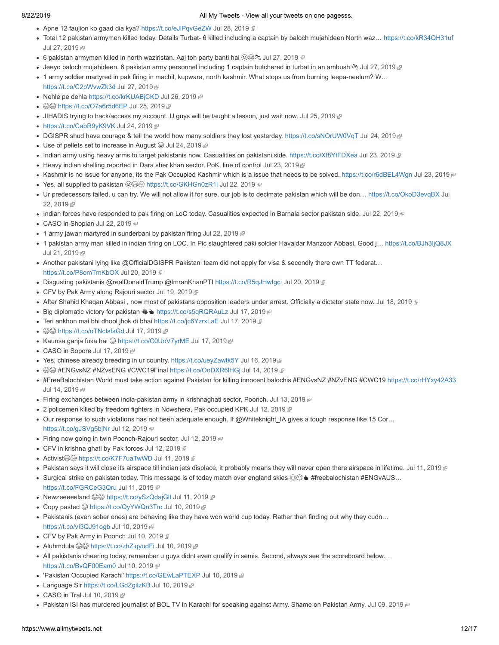- Apne 12 faujion ko gaad dia kya? [https://t.co/eJlPqvGeZW](http://t.co/eJlPqvGeZW) [Jul 28, 2019](https://twitter.com/stranger0968/status/1155338507277258752) @
- Total 12 pakistan armymen killed today. Details Turbat- 6 killed including a captain by baloch mujahideen North waz… [https://t.co/kR34QH31uf](http://t.co/kR34QH31uf) [Jul 27, 2019](https://twitter.com/stranger0968/status/1155072158135181312) @
- 6 pakistan armymen killed in north waziristan. Aaj toh party banti hai  $\bigcirc \mathfrak{S} \otimes \mathfrak{S}$  [Jul 27, 2019](https://twitter.com/stranger0968/status/1155070779014471680)  $\mathfrak{S}$
- Jeeyo baloch mujahideen. 6 pakistan army personnel including 1 captain butchered in turbat in an ambush  $\approx$  [Jul 27, 2019](https://twitter.com/stranger0968/status/1155016695267942400)  $\epsilon$
- 1 army soldier martyred in pak firing in machil, kupwara, north kashmir. What stops us from burning leepa-neelum? W... [https://t.co/C2pWvwZk3d](http://t.co/C2pWvwZk3d) [Jul 27, 2019](https://twitter.com/stranger0968/status/1154980373513854979)
- Nehle pe dehla [https://t.co/krKUABjCKD](http://t.co/krKUABjCKD) [Jul 26, 2019](https://twitter.com/stranger0968/status/1154634994767343617) @
- ©© [https://t.co/O7a6r5d6EP](http://t.co/O7a6r5d6EP) [Jul 25, 2019](https://twitter.com/stranger0968/status/1154337464196091905) @
- JIHADIS trying to hack/access my account. U guys will be taught a lesson, just wait now. [Jul 25, 2019](https://twitter.com/stranger0968/status/1154302192012017664) @
- [https://t.co/CabR9yK9VK](http://t.co/CabR9yK9VK) [Jul 24, 2019](https://twitter.com/stranger0968/status/1154009490116661248) ®
- DGISPR shud have courage & tell the world how many soldiers they lost yesterday. [https://t.co/sNOrUW0VqT](http://t.co/sNOrUW0VqT) [Jul 24, 2019](https://twitter.com/stranger0968/status/1153926007553789953)
- Use of pellets set to increase in August  $\circledcirc$  [Jul 24, 2019](https://twitter.com/stranger0968/status/1153919343144636416)  $\circledcirc$
- Indian army using heavy arms to target pakistanis now. Casualities on pakistani side. [https://t.co/Xf8YtFDXea](http://t.co/Xf8YtFDXea) [Jul 23, 2019](https://twitter.com/stranger0968/status/1153629158930558981) @
- $\bullet$  Heavy indian shelling reported in Dara sher khan sector, PoK, line of control [Jul 23, 2019](https://twitter.com/stranger0968/status/1153608306994352129)  $\textcircled{F}$
- Kashmir is no issue for anyone, its the Pak Occupied Kashmir which is a issue that needs to be solved. [https://t.co/r6dBEL4Wgn](http://t.co/r6dBEL4Wgn) [Jul 23, 2019](https://twitter.com/stranger0968/status/1153595431517073408) @
- Yes, all supplied to pakistan [https://t.co/GKHGn0zR1i](http://t.co/GKHGn0zR1i) [Jul 22, 2019](https://twitter.com/stranger0968/status/1153350614665048066)
- [Ur predecessors failed, u can try. We will not allow it for sure, our job is to decimate pakistan which will be don… https://t.co/OkoD3evqBX](https://twitter.com/stranger0968/status/1153350263194996739) Jul 22, 2019 雨
- Indian forces have responded to pak firing on LoC today. Casualities expected in Barnala sector pakistan side. [Jul 22, 2019](https://twitter.com/stranger0968/status/1153306694061105154)  $\oplus$
- CASO in Shopian [Jul 22, 2019](https://twitter.com/stranger0968/status/1153240330159869952)
- $\bullet$  1 army jawan martyred in sunderbani by pakistan firing [Jul 22, 2019](https://twitter.com/stranger0968/status/1153225508806680576)  $\circledast$
- 1 pakistan army man killed in indian firing on LOC. In Pic slaughtered paki soldier Havaldar Manzoor Abbasi. Good j… [https://t.co/BJh3IjQ8JX](http://t.co/BJh3IjQ8JX) [Jul 21, 2019](https://twitter.com/stranger0968/status/1152784091730907137) @
- Another pakistani lying like @OfficialDGISPR Pakistani team did not apply for visa & secondly there own TT federat… [https://t.co/P8omTmKbOX](http://t.co/P8omTmKbOX) [Jul 20, 2019](https://twitter.com/stranger0968/status/1152556559555334149)
- Disgusting pakistanis @realDonaldTrump @ImranKhanPTI [https://t.co/R5qJHwIgci](http://t.co/R5qJHwIgci) [Jul 20, 2019](https://twitter.com/stranger0968/status/1152422092111044608) @
- CFV by Pak Army along Rajouri sector [Jul 19, 2019](https://twitter.com/stranger0968/status/1152242126643613698) @
- After Shahid Khaqan Abbasi, now most of pakistans opposition leaders under arrest. Officially a dictator state now. [Jul 18, 2019](https://twitter.com/stranger0968/status/1151793510980509696) @
- Big diplomatic victory for pakistan  $W \triangleq \frac{h}{h}$  [https://t.co/s5qRQRAuLz](http://t.co/s5qRQRAuLz) [Jul 17, 2019](https://twitter.com/stranger0968/status/1151528461023866881)
- Teri ankhon mai bhi dhool jhok di bhai [https://t.co/jc6YzrxLaE](http://t.co/jc6YzrxLaE) [Jul 17, 2019](https://twitter.com/stranger0968/status/1151499801348808704) @
- ©© [https://t.co/oTNcIsfsGd](http://t.co/oTNcIsfsGd) [Jul 17, 2019](https://twitter.com/stranger0968/status/1151492246119653376) @
- Kaunsa ganja fuka hai 
a[https://t.co/C0UoV7yrME](http://t.co/C0UoV7yrME) [Jul 17, 2019](https://twitter.com/stranger0968/status/1151483590045126659)
- CASO in Sopore [Jul 17, 2019](https://twitter.com/stranger0968/status/1151365971699032065) @
- Yes, chinese already breeding in ur country. [https://t.co/ueyZawtk5Y](http://t.co/ueyZawtk5Y) [Jul 16, 2019](https://twitter.com/stranger0968/status/1151179845596078081)  $\circledast$
- ©© #ENGvsNZ #NZvsENG #CWC19Final https://t.co/OoDXR6IHGi [Jul 14, 2019](https://twitter.com/stranger0968/status/1150470406215573504) ®
- #FreeBalochistan World must take action against Pakistan for killing innocent balochis #ENGvsNZ #NZvENG #CWC19 [https://t.co/rHYxy42A33](http://t.co/rHYxy42A33) [Jul 14, 2019](https://twitter.com/stranger0968/status/1150325968495677442) @
- Firing exchanges between india-pakistan army in krishnaghati sector, Poonch. [Jul 13, 2019](https://twitter.com/stranger0968/status/1150127482487525377) @
- 2 policemen killed by freedom fighters in Nowshera, Pak occupied KPK [Jul 12, 2019](https://twitter.com/stranger0968/status/1149680220942639104)
- Our response to such violations has not been adequate enough. If @Whiteknight\_IA gives a tough response like 15 Cor... [https://t.co/gJSVg5bjNr](http://t.co/gJSVg5bjNr) [Jul 12, 2019](https://twitter.com/stranger0968/status/1149599388492169216)
- Firing now going in twin Poonch-Rajouri sector. [Jul 12, 2019](https://twitter.com/stranger0968/status/1149552888034627589) <sup>®</sup>
- CFV in krishna ghati by Pak forces [Jul 12, 2019](https://twitter.com/stranger0968/status/1149522833833222145)
- Activist <sup>●</sup> [https://t.co/K7F7uaTwWD](http://t.co/K7F7uaTwWD) [Jul 11, 2019](https://twitter.com/stranger0968/status/1149355686717009920)
- Pakistan says it will close its airspace till indian jets displace, it probably means they will never open there airspace in lifetime. [Jul 11, 2019](https://twitter.com/stranger0968/status/1149344340642324481)  $\oplus$
- Surgical strike on pakistan today. This message is of today match over england skies  $\bigotimes \blacktriangle$  #freebalochistan #ENGvAUS...
- [https://t.co/FGRCeG3Qru](http://t.co/FGRCeG3Qru) [Jul 11, 2019](https://twitter.com/stranger0968/status/1149290879498240001)
- Newzeeeeeland [https://t.co/ySzQdajGlt](http://t.co/ySzQdajGlt) [Jul 11, 2019](https://twitter.com/stranger0968/status/1149199910790672385)
- Copy pasted **G** [https://t.co/QyYWQn3Tro](http://t.co/QyYWQn3Tro) [Jul 10, 2019](https://twitter.com/stranger0968/status/1149029770069512192) @
- Pakistanis (even sober ones) are behaving like they have won world cup today. Rather than finding out why they cudn... [https://t.co/vI3QJ91ogb](http://t.co/vI3QJ91ogb) [Jul 10, 2019](https://twitter.com/stranger0968/status/1148996157496074240) 图
- CFV by Pak Army in Poonch [Jul 10, 2019](https://twitter.com/stranger0968/status/1148963301306454018)
- Aluhmdula [https://t.co/zhZiqyudFi](http://t.co/zhZiqyudFi) [Jul 10, 2019](https://twitter.com/stranger0968/status/1148960259744161792)
- All pakistanis cheering today, remember u guys didnt even qualify in semis. Second, always see the scoreboard below… [https://t.co/BvQF00Eam0](http://t.co/BvQF00Eam0) [Jul 10, 2019](https://twitter.com/stranger0968/status/1148953829926477824)
- 'Pakistan Occupied Karachi' [https://t.co/GEwLaPTEXP](http://t.co/GEwLaPTEXP) [Jul 10, 2019](https://twitter.com/stranger0968/status/1148880824781217792)
- Language Sir [https://t.co/LGdZgilzKB](http://t.co/LGdZgilzKB) [Jul 10, 2019](https://twitter.com/stranger0968/status/1148866336509943808) @
- $\bullet$  CASO in Tral [Jul 10, 2019](https://twitter.com/stranger0968/status/1148828469981302785)  $\mathbb{F}$
- . Pakistan ISI has murdered journalist of BOL TV in Karachi for speaking against Army. Shame on Pakistan Army. [Jul 09, 2019](https://twitter.com/stranger0968/status/1148647401739235328)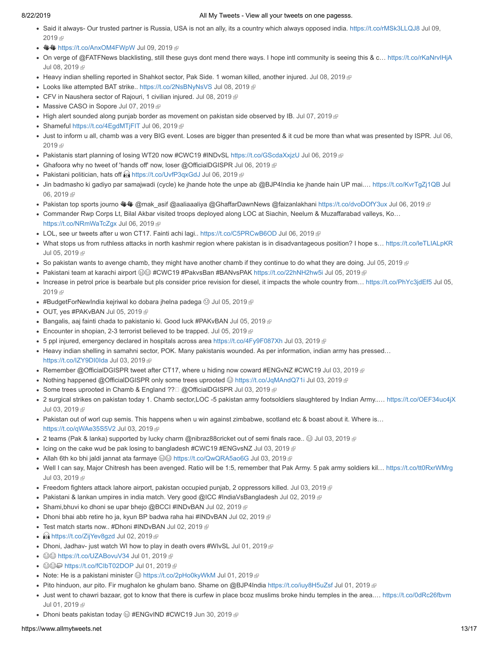- [Said it always- Our trusted partner is Russia, USA is not an ally, its a country which always opposed india. https://t.co/rMSk3LLQJ8](https://twitter.com/stranger0968/status/1148604582769111040) Jul 09, 2019 雨
- **业业 [https://t.co/AnxOM4FWpW](http://t.co/AnxOM4FWpW) [Jul 09, 2019](https://twitter.com/stranger0968/status/1148449534516891649)**
- On verge of @FATFNews blacklisting, still these guys dont mend there ways. I hope intl community is seeing this & c… [https://t.co/rKaNrvIHjA](http://t.co/rKaNrvIHjA) [Jul 08, 2019](https://twitter.com/stranger0968/status/1148233441063968769)
- Heavy indian shelling reported in Shahkot sector, Pak Side. 1 woman killed, another injured. [Jul 08, 2019](https://twitter.com/stranger0968/status/1148220638169128960)
- Looks like attempted BAT strike.. [https://t.co/2NsBNyNsVS](http://t.co/2NsBNyNsVS) [Jul 08, 2019](https://twitter.com/stranger0968/status/1148174190148771840) @
- CFV in Naushera sector of Rajouri, 1 civilian injured. [Jul 08, 2019](https://twitter.com/stranger0968/status/1148116999794581504) @
- Massive CASO in Sopore [Jul 07, 2019](https://twitter.com/stranger0968/status/1147901731952627712)
- High alert sounded along punjab border as movement on pakistan side observed by IB. [Jul 07, 2019](https://twitter.com/stranger0968/status/1147880933594243072)
- Shameful [https://t.co/4EgdMTjFIT](http://t.co/4EgdMTjFIT) [Jul 06, 2019](https://twitter.com/stranger0968/status/1147548967552503808) <sup>®</sup>
- [Just to inform u all, chamb was a very BIG event. Loses are bigger than presented & it cud be more than what was presented by ISPR. Jul 06,](https://twitter.com/stranger0968/status/1147532085231415296) 2019 图
- Pakistanis start planning of losing WT20 now #CWC19 #INDvSL https://t.co/GScdaXxizU [Jul 06, 2019](https://twitter.com/stranger0968/status/1147527697465147398) @
- Ghafoora why no tweet of 'hands off' now, loser @OfficialDGISPR [Jul 06, 2019](https://twitter.com/stranger0968/status/1147496450877607937)
- Pakistani politician, hats off **and the [https://t.co/UvfP3qxGdJ](http://t.co/UvfP3qxGdJ) [Jul 06, 2019](https://twitter.com/stranger0968/status/1147480891196870656)**
- [Jin badmasho ki gadiyo par samajwadi \(cycle\) ke jhande hote the unpe ab @BJP4India ke jhande hain UP mai.… https://t.co/KvrTgZj1QB](https://twitter.com/stranger0968/status/1147448339920609286) Jul 06.2019 图
- Pakistan top sports journo WW @mak\_asif @aaliaaaliya @GhaffarDawnNews @faizanlakhani [https://t.co/dvoDOfY3ux](http://t.co/dvoDOfY3ux) [Jul 06, 2019](https://twitter.com/stranger0968/status/1147352444432736256)
- Commander Rwp Corps Lt, Bilal Akbar visited troops deployed along LOC at Siachin, Neelum & Muzaffarabad valleys, Ko… [https://t.co/NRmWaTcZgx](http://t.co/NRmWaTcZgx) [Jul 06, 2019](https://twitter.com/stranger0968/status/1147341261906554881)
- LOL, see ur tweets after u won CT17. Fainti achi lagi.. [https://t.co/C5PRCwB6OD](http://t.co/C5PRCwB6OD) [Jul 06, 2019](https://twitter.com/stranger0968/status/1147339517466222592)
- What stops us from ruthless attacks in north kashmir region where pakistan is in disadvantageous position? I hope s… [https://t.co/leTLIALpKR](http://t.co/leTLIALpKR) [Jul 05, 2019](https://twitter.com/stranger0968/status/1147206639184990211) &
- So pakistan wants to avenge chamb, they might have another chamb if they continue to do what they are doing. [Jul 05, 2019](https://twitter.com/stranger0968/status/1147195865498574848)  $\mathbb F$
- Pakistani team at karachi airport #CWC19 #PakvsBan #BANvsPAK [https://t.co/22hNH2hw5i](http://t.co/22hNH2hw5i) [Jul 05, 2019](https://twitter.com/stranger0968/status/1147170694066769920)
- Increase in petrol price is bearbale but pls consider price revision for diesel, it impacts the whole country from... https://t.co/PhYc3jdEf5 Jul 05, 2019
- $\bullet$  #BudgetForNewIndia kejriwal ko dobara jhelna padega  $\circledS$  [Jul 05, 2019](https://twitter.com/stranger0968/status/1147105459943424001)
- OUT, yes #PAKvBAN [Jul 05, 2019](https://twitter.com/stranger0968/status/1147081788302471168)
- Bangalis, aaj fainti chada to pakistanio ki. Good luck #PAKvBAN [Jul 05, 2019](https://twitter.com/stranger0968/status/1147078415452794881) @
- Encounter in shopian, 2-3 terrorist believed to be trapped. [Jul 05, 2019](https://twitter.com/stranger0968/status/1146969578955780097)
- 5 ppl injured, emergency declared in hospitals across area [https://t.co/4Fy9F087Xh](http://t.co/4Fy9F087Xh) [Jul 03, 2019](https://twitter.com/stranger0968/status/1146489355139072000) @
- Heavy indian shelling in samahni sector, POK. Many pakistanis wounded. As per information, indian army has pressed... [https://t.co/IZY9DI0Ida](http://t.co/IZY9DI0Ida) [Jul 03, 2019](https://twitter.com/stranger0968/status/1146488430307639296)
- Remember @OfficialDGISPR tweet after CT17, where u hiding now coward #ENGvNZ #CWC19 [Jul 03, 2019](https://twitter.com/stranger0968/status/1146477572647202817)  $\circledR$
- Nothing happened @OfficialDGISPR only some trees uprooted <sup>@</sup> [https://t.co/JqMAndQ71i](http://t.co/JqMAndQ71i) [Jul 03, 2019](https://twitter.com/stranger0968/status/1146477241104240640) *a*
- Some trees uprooted in Chamb & England ??□ @OfficialDGISPR [Jul 03, 2019](https://twitter.com/stranger0968/status/1146476940393615361) @
- 2 surgical strikes on pakistan today 1. Chamb sector,LOC -5 pakistan army footsoldiers slaughtered by Indian Army..… [https://t.co/OEF34uc4jX](http://t.co/OEF34uc4jX) [Jul 03, 2019](https://twitter.com/stranger0968/status/1146474852922118146)
- Pakistan out of worl cup semis. This happens when u win against zimbabwe, scotland etc & boast about it. Where is… [https://t.co/qWAe35S5V2](http://t.co/qWAe35S5V2) [Jul 03, 2019](https://twitter.com/stranger0968/status/1146472622571630592)
- $\bullet$  2 teams (Pak & lanka) supported by lucky charm @nibraz88cricket out of semi finals race..  $\circledast$  [Jul 03, 2019](https://twitter.com/stranger0968/status/1146470491156176897)  $\circledast$
- Icing on the cake wud be pak losing to bangladesh #CWC19 #ENGvsNZ [Jul 03, 2019](https://twitter.com/stranger0968/status/1146458642851532800) @
- Allah 6th ko bhi jaldi jannat ata farmaye  $\circledast$  [https://t.co/QwQRA5ao6G](http://t.co/QwQRA5ao6G) [Jul 03, 2019](https://twitter.com/stranger0968/status/1146415487733121025)
- Well I can say, Major Chitresh has been avenged. Ratio will be 1:5, remember that Pak Army. 5 pak army soldiers kil… [https://t.co/tt0RxrWMrg](http://t.co/tt0RxrWMrg) [Jul 03, 2019](https://twitter.com/stranger0968/status/1146412119501484032) @
- Freedom fighters attack lahore airport, pakistan occupied punjab, 2 oppressors killed. [Jul 03, 2019](https://twitter.com/stranger0968/status/1146315171763302401) @
- Pakistani & lankan umpires in india match. Very good @ICC #IndiaVsBangladesh [Jul 02, 2019](https://twitter.com/stranger0968/status/1146066285819650048) @
- Shami, bhuvi ko dhoni se upar bhejo @BCCI #INDvBAN [Jul 02, 2019](https://twitter.com/stranger0968/status/1146044952088068096)
- Dhoni bhai abb retire ho ja, kyun BP badwa raha hai #INDvBAN [Jul 02, 2019](https://twitter.com/stranger0968/status/1146044351983837184) @
- Test match starts now.. #Dhoni #INDvBAN [Jul 02, 2019](https://twitter.com/stranger0968/status/1146031600540557312)
- **Mand [https://t.co/ZijYev8gzd](http://t.co/ZijYev8gzd) [Jul 02, 2019](https://twitter.com/stranger0968/status/1146031337268269056)**
- Dhoni, Jadhav- just watch WI how to play in death overs #WIvSL [Jul 01, 2019](https://twitter.com/stranger0968/status/1145746830275284992)
- ©© [https://t.co/UZABovuV34](http://t.co/UZABovuV34) [Jul 01, 2019](https://twitter.com/stranger0968/status/1145739404956360704) @
- ©©© [https://t.co/fCIbT02DOP](http://t.co/fCIbT02DOP) [Jul 01, 2019](https://twitter.com/stranger0968/status/1145662488773611520) @
- Note: He is a pakistani minister  $\circledcirc$  [https://t.co/2pHo0kyWkM](http://t.co/2pHo0kyWkM) [Jul 01, 2019](https://twitter.com/stranger0968/status/1145660874155274241)  $\circledcirc$
- Pito hinduon, aur pito. Fir mughalon ke ghulam bano. Shame on @BJP4India [https://t.co/iuy8H5uZsf](http://t.co/iuy8H5uZsf) [Jul 01, 2019](https://twitter.com/stranger0968/status/1145655374961418242)
- Just went to chawri bazaar, got to know that there is curfew in place bcoz muslims broke hindu temples in the area.… [https://t.co/0dRc26fbvm](http://t.co/0dRc26fbvm) [Jul 01, 2019](https://twitter.com/stranger0968/status/1145654197800644608) @
- Dhoni beats pakistan today  $\textcircled{3}$  #ENGvIND #CWC19 [Jun 30, 2019](https://twitter.com/stranger0968/status/1145388309943902208)  $\textcircled{9}$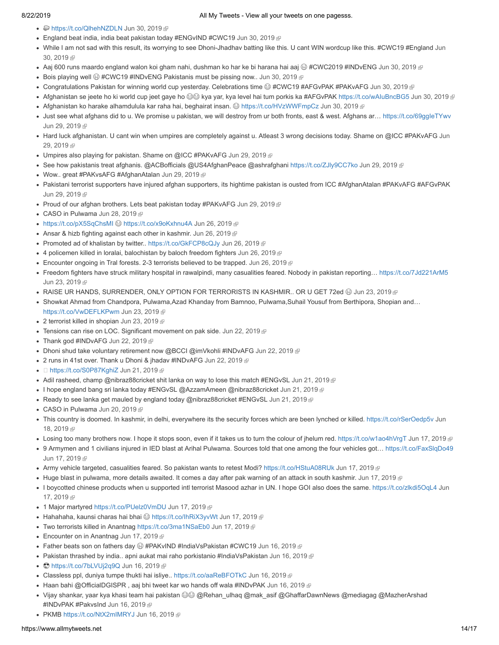- **@ [https://t.co/QlhehNZDLN](http://t.co/QlhehNZDLN) [Jun 30, 2019](https://twitter.com/stranger0968/status/1145387680588607493) @**
- England beat india, india beat pakistan today #ENGvIND #CWC19 [Jun 30, 2019](https://twitter.com/stranger0968/status/1145387280426852353)  $\textcircled{F}$
- [While I am not sad with this result, its worrying to see Dhoni-Jhadhav batting like this. U cant WIN wordcup like this. #CWC19 #England Jun](https://twitter.com/stranger0968/status/1145383232105529355) 30, 2019
- Aaj 600 runs maardo england walon koi gham nahi, dushman ko har ke bi harana hai aaj  $\oplus$  #CWC2019 #INDvENG [Jun 30, 2019](https://twitter.com/stranger0968/status/1145284458981052416)  $\oplus$
- Bois playing well  $\bigcirc$  #CWC19 #INDvENG Pakistanis must be pissing now.. [Jun 30, 2019](https://twitter.com/stranger0968/status/1145283852232876034)  $\bigcirc$
- Congratulations Pakistan for winning world cup yesterday. Celebrations time @#CWC19 #AFGvPAK #PAKvAFG [Jun 30, 2019](https://twitter.com/stranger0968/status/1145236417204957184) @
- Afghanistan se jeete ho ki world cup jeet gaye ho ⊜© kya yar, kya level hai tum porkis ka #AFGvPAK https://t.co/wAluBncBG5 [Jun 30, 2019](https://twitter.com/stranger0968/status/1145207532362838017) ®
- Afghanistan ko harake alhamdulula kar raha hai, beghairat insan. @ [https://t.co/HVzWWFmpCz](http://t.co/HVzWWFmpCz) [Jun 30, 2019](https://twitter.com/stranger0968/status/1145163603231875072) @
- Just see what afghans did to u. We promise u pakistan, we will destroy from ur both fronts, east & west. Afghans ar... [https://t.co/69ggIeTYwv](http://t.co/69ggIeTYwv) [Jun 29, 2019](https://twitter.com/stranger0968/status/1145014405341622273) @
- [Hard luck afghanistan. U cant win when umpires are completely against u. Atleast 3 wrong decisions today. Shame on @ICC #PAKvAFG Jun](https://twitter.com/stranger0968/status/1145013529340207104) 29. 2019 图
- Umpires also playing for pakistan. Shame on @ICC #PAKvAFG [Jun 29, 2019](https://twitter.com/stranger0968/status/1144997648606224385)
- See how pakistanis treat afghanis. @ACBofficials @US4AfghanPeace @ashrafghani [https://t.co/ZJly9CC7ko](http://t.co/ZJly9CC7ko) [Jun 29, 2019](https://twitter.com/stranger0968/status/1144991698386378752) @
- Wow.. great #PAKvsAFG #AfghanAtalan [Jun 29, 2019](https://twitter.com/stranger0968/status/1144964309480615938) ®
- Pakistani terrorist supporters have injured afghan supporters, its hightime pakistan is ousted from ICC #AfghanAtalan #PAKvAFG #AFGvPAK [Jun 29, 2019](https://twitter.com/stranger0968/status/1144952508063895553) @
- Proud of our afghan brothers. Lets beat pakistan today #PAKvAFG [Jun 29, 2019](https://twitter.com/stranger0968/status/1144905455577309184)  $\textcircled{\tiny{F}}$
- CASO in Pulwama [Jun 28, 2019](https://twitter.com/stranger0968/status/1144658788504485890)
- [https://t.co/pX5SqChsMI](http://t.co/pX5SqChsMI) [https://t.co/x9oKxhnu4A](http://t.co/x9oKxhnu4A) [Jun 26, 2019](https://twitter.com/stranger0968/status/1143928056064688128)
- Ansar & hizb fighting against each other in kashmir. [Jun 26, 2019](https://twitter.com/stranger0968/status/1143924809815994369)
- Promoted ad of khalistan by twitter.. [https://t.co/GkFCP8cQJy](http://t.co/GkFCP8cQJy) [Jun 26, 2019](https://twitter.com/stranger0968/status/1143753977026240512)
- $\bullet$  4 policemen killed in loralai, balochistan by baloch freedom fighters [Jun 26, 2019](https://twitter.com/stranger0968/status/1143753489958559744)  $\circledR$
- Encounter ongoing in Tral forests. 2-3 terrorists believed to be trapped. [Jun 26, 2019](https://twitter.com/stranger0968/status/1143716835583356928)  $\mathbb{F}$
- Freedom fighters have struck military hospital in rawalpindi, many casualities feared. Nobody in pakistan reporting… [https://t.co/7Jd221ArM5](http://t.co/7Jd221ArM5) [Jun 23, 2019](https://twitter.com/stranger0968/status/1142787971063660544) @
- $\bullet~$  RAISE UR HANDS, SURRENDER, ONLY OPTION FOR TERRORISTS IN KASHMIR.. OR U GET 72ed  $\circledast$  [Jun 23, 2019](https://twitter.com/stranger0968/status/1142679601568632833)
- Showkat Ahmad from Chandpora, Pulwama,Azad Khanday from Bamnoo, Pulwama,Suhail Yousuf from Berthipora, Shopian and… [https://t.co/VwDEFLKPwm](http://t.co/VwDEFLKPwm) [Jun 23, 2019](https://twitter.com/stranger0968/status/1142677509672177665)
- 2 terrorist killed in shopian [Jun 23, 2019](https://twitter.com/stranger0968/status/1142637363425882112)
- Tensions can rise on LOC. Significant movement on pak side. [Jun 22, 2019](https://twitter.com/stranger0968/status/1142513868461076480)
- Thank god #INDvAFG [Jun 22, 2019](https://twitter.com/stranger0968/status/1142409440173481984)
- . Dhoni shud take voluntary retirement now @BCCI @imVkohli #INDvAFG [Jun 22, 2019](https://twitter.com/stranger0968/status/1142406679239286784) @
- 2 runs in 41st over. Thank u Dhoni & jhadav #INDvAFG [Jun 22, 2019](https://twitter.com/stranger0968/status/1142405730802253824)
- □ [https://t.co/S0P87KghiZ](http://t.co/S0P87KghiZ) [Jun 21, 2019](https://twitter.com/stranger0968/status/1142112559337787392) @
- Adil rasheed, champ @nibraz88cricket shit lanka on way to lose this match #ENGvSL [Jun 21, 2019](https://twitter.com/stranger0968/status/1142033897858879488)
- I hope england bang sri lanka today #ENGvSL @AzzamAmeen @nibraz88cricket [Jun 21, 2019](https://twitter.com/stranger0968/status/1142005339824504833) ®
- Ready to see lanka get mauled by england today @nibraz88cricket #ENGvSL [Jun 21, 2019](https://twitter.com/stranger0968/status/1141914715146219521)  $\mathbb P$
- CASO in Pulwama [Jun 20, 2019](https://twitter.com/stranger0968/status/1141708864431304705)
- [This country is doomed. In kashmir, in delhi, everywhere its the security forces which are been lynched or killed. https://t.co/rSerOedp5v](https://twitter.com/stranger0968/status/1140981518522732544) Jun 18, 2019
- Losing too many brothers now. I hope it stops soon, even if it takes us to turn the colour of jhelum red. [https://t.co/w1ao4hVrgT](http://t.co/w1ao4hVrgT) [Jun 17, 2019](https://twitter.com/stranger0968/status/1140639709787561985)
- 9 Armymen and 1 civilians injured in IED blast at Arihal Pulwama. Sources told that one among the four vehicles got… [https://t.co/FaxSlqDo49](http://t.co/FaxSlqDo49) [Jun 17, 2019](https://twitter.com/stranger0968/status/1140615354676330498) @
- Army vehicle targeted, casualities feared. So pakistan wants to retest Modi? [https://t.co/HStuA08RUk](http://t.co/HStuA08RUk) [Jun 17, 2019](https://twitter.com/stranger0968/status/1140604018403741696)
- Huge blast in pulwama, more details awaited. It comes a day after pak warning of an attack in south kashmir. [Jun 17, 2019](https://twitter.com/stranger0968/status/1140601234426093568)  $\oplus$
- [I boycotted chinese products when u supported intl terrorist Masood azhar in UN. I hope GOI also does the same. https://t.co/zlkdi5OqL4](https://twitter.com/stranger0968/status/1140557728005459969) Jun 17, 2019
- 1 Major martyred [https://t.co/PUelz0VmDU](http://t.co/PUelz0VmDU) [Jun 17, 2019](https://twitter.com/stranger0968/status/1140556724472033280) @
- Hahahaha, kaunsi charas hai bhai  $\circledcirc$  https://t.co/lhRiX3yvWt [Jun 17, 2019](https://twitter.com/stranger0968/status/1140531430545592320)
- Two terrorists killed in Anantnag [https://t.co/3ma1NSaEb0](http://t.co/3ma1NSaEb0) [Jun 17, 2019](https://twitter.com/stranger0968/status/1140529782318350337)
- Encounter on in Anantnag [Jun 17, 2019](https://twitter.com/stranger0968/status/1140450384642658304)
- Father beats son on fathers day  $\circledast$  #PAKvIND #IndiaVsPakistan #CWC19 [Jun 16, 2019](https://twitter.com/stranger0968/status/1140326079565041671)  $\circledast$
- Pakistan thrashed by india.. apni aukat mai raho porkistanio #IndiaVsPakistan [Jun 16, 2019](https://twitter.com/stranger0968/status/1140324216987901953)
- **[https://t.co/7bLVUj2q9Q](http://t.co/7bLVUj2q9Q) [Jun 16, 2019](https://twitter.com/stranger0968/status/1140312387184222208)** @
- Classless ppl, duniya tumpe thukti hai isliye.. [https://t.co/aaReBFOTkC](http://t.co/aaReBFOTkC) [Jun 16, 2019](https://twitter.com/stranger0968/status/1140309042520309760)  $\mathbb P$
- Haan bahi @OfficialDGISPR, aaj bhi tweet kar wo hands off wala #INDvPAK [Jun 16, 2019](https://twitter.com/stranger0968/status/1140308817126875136)  $\mathbb{F}$
- Vijay shankar, yaar kya khasi team hai pakistan @Rehan\_ulhaq @mak\_asif @GhaffarDawnNews @mediagag @MazherArshad #INDvPAK #PakvsInd [Jun 16, 2019](https://twitter.com/stranger0968/status/1140305484727169025)
- PKMB [https://t.co/NtX2mIMRYJ](http://t.co/NtX2mIMRYJ) [Jun 16, 2019](https://twitter.com/stranger0968/status/1140299950657540096) ®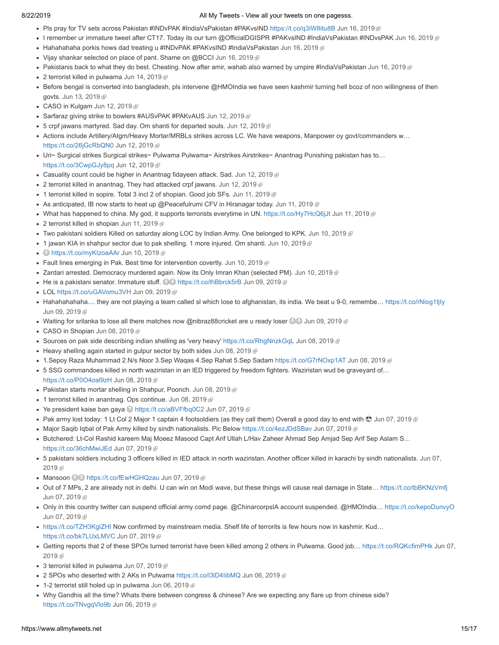- Pls pray for TV sets across Pakistan #INDvPAK #IndiaVsPakistan #PAKvsIND [https://t.co/q3iW8itu8B](http://t.co/q3iW8itu8B) [Jun 16, 2019](https://twitter.com/stranger0968/status/1140299886879039488)
- I remember ur immature tweet after CT17. Today its our turn @OfficialDGISPR #PAKvsIND #IndiaVsPakistan #INDvsPAK [Jun 16, 2019](https://twitter.com/stranger0968/status/1140297894228045825) ®
- Hahahahaha porkis hows dad treating u #INDvPAK #PAKvsIND #IndiaVsPakistan [Jun 16, 2019](https://twitter.com/stranger0968/status/1140296630933032960)  $\oplus$
- Vijay shankar selected on place of pant. Shame on @BCCI [Jun 16, 2019](https://twitter.com/stranger0968/status/1140257050926227456)
- Pakistanis back to what they do best. Cheating. Now after amir, wahab also warned by umpire #IndiaVsPakistan [Jun 16, 2019](https://twitter.com/stranger0968/status/1140213495880830976)
- 2 terrorist killed in pulwama [Jun 14, 2019](https://twitter.com/stranger0968/status/1139422643176632320)
- Before bengal is converted into bangladesh, pls intervene @HMOIndia we have seen kashmir turning hell bcoz of non willingness of then govts. [Jun 13, 2019](https://twitter.com/stranger0968/status/1139199977270448130) @
- CASO in Kulgam [Jun 12, 2019](https://twitter.com/stranger0968/status/1138855945071710212)
- Sarfaraz giving strike to bowlers #AUSvPAK #PAKvAUS [Jun 12, 2019](https://twitter.com/stranger0968/status/1138853108396769280)
- 5 crpf jawans martyred. Sad day. Om shanti for departed souls. [Jun 12, 2019](https://twitter.com/stranger0968/status/1138807956420608000)
- Actions include Artillery/Atgm/Heavy Mortar/MRBLs strikes across LC. We have weapons, Manpower oy govt/commanders w… [https://t.co/26jGcRbQN0](http://t.co/26jGcRbQN0) [Jun 12, 2019](https://twitter.com/stranger0968/status/1138806607893225473)
- Uri~ Surgical strikes Surgical strikes~ Pulwama Pulwama~ Airstrikes Airstrikes~ Anantnag Punishing pakistan has to... [https://t.co/3CwpGJy8pq](http://t.co/3CwpGJy8pq) [Jun 12, 2019](https://twitter.com/stranger0968/status/1138805729199083521)
- Casuality count could be higher in Anantnag fidayeen attack. Sad. [Jun 12, 2019](https://twitter.com/stranger0968/status/1138782653816233984)
- 2 terrorist killed in anantnag. They had attacked crpf jawans. [Jun 12, 2019](https://twitter.com/stranger0968/status/1138780155613257728)
- 1 terrorist killed in sopire. Total 3 incl 2 of shopian. Good job SFs. [Jun 11, 2019](https://twitter.com/stranger0968/status/1138450337709404160)
- As anticipated, IB now starts to heat up @Peacefulrumi CFV in Hiranagar today. [Jun 11, 2019](https://twitter.com/stranger0968/status/1138449928907309059)  $\mathbb P$
- What has happened to china. My god, it supports terrorists everytime in UN. [https://t.co/Hy7HcQ6jJt](http://t.co/Hy7HcQ6jJt) [Jun 11, 2019](https://twitter.com/stranger0968/status/1138307127162933249)
- 2 terrorist killed in shopian [Jun 11, 2019](https://twitter.com/stranger0968/status/1138301674374742017)
- Two pakistani soldiers Killed on saturday along LOC by Indian Army. One belonged to KPK. [Jun 10, 2019](https://twitter.com/stranger0968/status/1138101357322416128) @
- $\bullet$  1 jawan KIA in shahpur sector due to pak shelling. 1 more injured. Om shanti. [Jun 10, 2019](https://twitter.com/stranger0968/status/1138072807462584326)  $\textcircled{F}$
- <sup>●</sup> [https://t.co/myKIzoaAAr](http://t.co/myKIzoaAAr) [Jun 10, 2019](https://twitter.com/stranger0968/status/1138058718367686656)
- Fault lines emerging in Pak. Best time for intervention covertly. [Jun 10, 2019](https://twitter.com/stranger0968/status/1138056709291855872)
- Zardari arrested. Democracy murdered again. Now its Only Imran Khan (selected PM). [Jun 10, 2019](https://twitter.com/stranger0968/status/1138054632033460224)
- He is a pakistani senator. Immature stuff.  $\circledS\circledS$  [https://t.co/lhBbrck5rB](http://t.co/lhBbrck5rB) [Jun 09, 2019](https://twitter.com/stranger0968/status/1137792750521393154)
- LOL [https://t.co/uGAVomu3VH](http://t.co/uGAVomu3VH) [Jun 09, 2019](https://twitter.com/stranger0968/status/1137790485169418240) *®*
- Hahahahahaha.... they are not playing a team called sl which lose to afghanistan, its india. We beat u 9-0, remembe... https://t.co/rNiog1tjly [Jun 09, 2019](https://twitter.com/stranger0968/status/1137777454255419394) &
- Waiting for srilanka to lose all there matches now @nibraz88cricket are u ready loser  $\circledast\circledast$  [Jun 09, 2019](https://twitter.com/stranger0968/status/1137776341888245760)  $\circledast$
- CASO in Shopian [Jun 08, 2019](https://twitter.com/stranger0968/status/1137412335109398530)
- Sources on pak side describing indian shelling as 'very heavy' [https://t.co/RhgNnzkGqL](http://t.co/RhgNnzkGqL) [Jun 08, 2019](https://twitter.com/stranger0968/status/1137398999894372358) @
- $\bullet$  Heavy shelling again started in gulpur sector by both sides [Jun 08, 2019](https://twitter.com/stranger0968/status/1137395421440040960)  $\bullet$
- 1.Sepoy Raza Muhammad 2.N/s Noor 3.Sep Waqas 4.Sep Rahat 5.Sep Sadam [https://t.co/G7rNOxp1AT](http://t.co/G7rNOxp1AT) [Jun 08, 2019](https://twitter.com/stranger0968/status/1137321393153028096) P
- 5 SSG commandoes killed in north waziristan in an IED triggered by freedom fighters. Waziristan wud be graveyard of…
- [https://t.co/P0O4oal9zH](http://t.co/P0O4oal9zH) [Jun 08, 2019](https://twitter.com/stranger0968/status/1137320892487389187)
- Pakistan starts mortar shelling in Shahpur, Poonch. [Jun 08, 2019](https://twitter.com/stranger0968/status/1137276531355422722)
- 1 terrorist killed in anantnag. Ops continue. [Jun 08, 2019](https://twitter.com/stranger0968/status/1137210708490432513)
- Ye president kaise ban gaya  $\bigcirc$  [https://t.co/aBVFfbq0C2](http://t.co/aBVFfbq0C2) [Jun 07, 2019](https://twitter.com/stranger0968/status/1137063073678811137)  $\bigcirc$
- Pak army lost today: 1 Lt Col 2 Major 1 captain 4 footsoldiers (as they call them) Overall a good day to end with  $\odot$  [Jun 07, 2019](https://twitter.com/stranger0968/status/1137050461280882689)
- Major Saqib Iqbal of Pak Army killed by sindh nationalists. Pic Below [https://t.co/4ezJDdSBav](http://t.co/4ezJDdSBav) [Jun 07, 2019](https://twitter.com/stranger0968/status/1137049646151491584)
- Butchered: Lt-Col Rashid kareem Maj Moeez Masood Capt Arif Ullah L/Hav Zaheer Ahmad Sep Amjad Sep Arif Sep Aslam S... [https://t.co/36chMwiJEd](http://t.co/36chMwiJEd) [Jun 07, 2019](https://twitter.com/stranger0968/status/1137038112549421058)
- [5 pakistani soldiers including 3 officers killed in IED attack in north waziristan. Another officer killed in karachi by sindh nationalists. Jun 07,](https://twitter.com/stranger0968/status/1137018568804052992) 2019 雨
- Mansoon  $\circledcirc\circ$  [https://t.co/fEwHGHQzau](http://t.co/fEwHGHQzau) [Jun 07, 2019](https://twitter.com/stranger0968/status/1137009439997923328)
- Out of 7 MPs, 2 are already not in delhi. U can win on Modi wave, but these things will cause real damage in State… [https://t.co/tbBKNzVmfj](http://t.co/tbBKNzVmfj) [Jun 07, 2019](https://twitter.com/stranger0968/status/1136989279098269697) @
- Only in this country twitter can suspend official army comd page. @ChinarcorpsIA account suspended. @HMOIndia… [https://t.co/kepoDunvyO](http://t.co/kepoDunvyO) [Jun 07, 2019](https://twitter.com/stranger0968/status/1136865560669675520) &
- [https://t.co/TZH3KglZHI](http://t.co/TZH3KglZHI) Now confirmed by mainstream media. Shelf life of terrorits is few hours now in kashmir. Kud… [https://t.co/bk7LUxLMVC](http://t.co/bk7LUxLMVC) [Jun 07, 2019](https://twitter.com/stranger0968/status/1136842635392405511)
- [Getting reports that 2 of these SPOs turned terrorist have been killed among 2 others in Pulwama. Good job… https://t.co/RQKcfimPHk](https://twitter.com/stranger0968/status/1136839112818810880) Jun 07, 2019
- 3 terrorist killed in pulwama [Jun 07, 2019](https://twitter.com/stranger0968/status/1136828873717493760)
- 2 SPOs who deserted with 2 AKs in Pulwama https://t.co/l3lD4libMQ [Jun 06, 2019](https://twitter.com/stranger0968/status/1136706989789106176) @
- $\bullet$  1-2 terrorist still holed up in pulwama [Jun 06, 2019](https://twitter.com/stranger0968/status/1136703283047702528)  $\textcircled{F}$
- Why Gandhis all the time? Whats there between congress & chinese? Are we expecting any flare up from chinese side? [https://t.co/TNvgqVlo9b](http://t.co/TNvgqVlo9b) [Jun 06, 2019](https://twitter.com/stranger0968/status/1136701500963545088)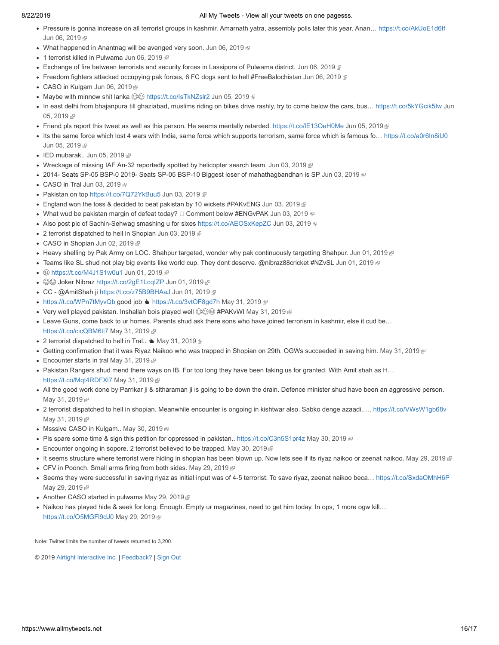- Pressure is gonna increase on all terrorist groups in kashmir. Amarnath yatra, assembly polls later this year. Anan… [https://t.co/AkUoE1d6tf](http://t.co/AkUoE1d6tf) [Jun 06, 2019](https://twitter.com/stranger0968/status/1136700989593989121) @
- What happened in Anantnag will be avenged very soon. [Jun 06, 2019](https://twitter.com/stranger0968/status/1136663161472520192)  $\mathbb P$
- 1 terrorist killed in Pulwama [Jun 06, 2019](https://twitter.com/stranger0968/status/1136642300224921601)
- Exchange of fire between terrorists and security forces in Lassipora of Pulwama district. [Jun 06, 2019](https://twitter.com/stranger0968/status/1136618750147518464)
- Freedom fighters attacked occupying pak forces, 6 FC dogs sent to hell #FreeBalochistan [Jun 06, 2019](https://twitter.com/stranger0968/status/1136615650741370880)
- CASO in Kulgam [Jun 06, 2019](https://twitter.com/stranger0968/status/1136593088699174912) @
- Maybe with minnow shit lanka  $\bigcirc\textcircled{a}$  [https://t.co/IsTkNZslr2](http://t.co/IsTkNZslr2) [Jun 05, 2019](https://twitter.com/stranger0968/status/1136320401141829632)  $\textcircled{e}$
- In east delhi from bhajanpura till ghaziabad, muslims riding on bikes drive rashly, try to come below the cars, bus... https://t.co/5kYGcik5Iw Jun 05, 2019
- Friend pls report this tweet as well as this person. He seems mentally retarded. [https://t.co/lE13OeH0Me](http://t.co/lE13OeH0Me) [Jun 05, 2019](https://twitter.com/stranger0968/status/1136262289747849217)
- Its the same force which lost 4 wars with India, same force which supports terrorism, same force which is famous fo... [https://t.co/a0r6In8iU0](http://t.co/a0r6In8iU0) [Jun 05, 2019](https://twitter.com/stranger0968/status/1136256672115122176) @
- $\bullet$  IED mubarak.. [Jun 05, 2019](https://twitter.com/stranger0968/status/1136117606526652416)  $\mathbb{F}$
- Wreckage of missing IAF An-32 reportedly spotted by helicopter search team. [Jun 03, 2019](https://twitter.com/stranger0968/status/1135518956599599104) @
- 2014- Seats SP-05 BSP-0 2019- Seats SP-05 BSP-10 Biggest loser of mahathagbandhan is SP [Jun 03, 2019](https://twitter.com/stranger0968/status/1135510779715825665)
- CASO in Tral [Jun 03, 2019](https://twitter.com/stranger0968/status/1135483884286746624) @
- Pakistan on top [https://t.co/7Q72YkBuu5](http://t.co/7Q72YkBuu5) [Jun 03, 2019](https://twitter.com/stranger0968/status/1135479096069242880)
- England won the toss & decided to beat pakistan by 10 wickets #PAKvENG [Jun 03, 2019](https://twitter.com/stranger0968/status/1135473711337877511)  $\mathbb{F}$
- What wud be pakistan margin of defeat today? Comment below #ENGvPAK [Jun 03, 2019](https://twitter.com/stranger0968/status/1135436394632032257)
- Also post pic of Sachin-Sehwag smashing u for sixes [https://t.co/AEOSxKepZC](http://t.co/AEOSxKepZC) [Jun 03, 2019](https://twitter.com/stranger0968/status/1135399467367243778) @
- 2 terrorist dispatched to hell in Shopian [Jun 03, 2019](https://twitter.com/stranger0968/status/1135388901324070913)
- CASO in Shopian [Jun 02, 2019](https://twitter.com/stranger0968/status/1135123555736154112)
- Heavy shelling by Pak Army on LOC. Shahpur targeted, wonder why pak continuously targetting Shahpur. [Jun 01, 2019](https://twitter.com/stranger0968/status/1134839557768273920)
- Teams like SL shud not play big events like world cup. They dont deserve. @nibraz88cricket #NZvSL [Jun 01, 2019](https://twitter.com/stranger0968/status/1134819874969214977)
- <sup>●</sup> [https://t.co/M4J1S1w0u1](http://t.co/M4J1S1w0u1) [Jun 01, 2019](https://twitter.com/stranger0968/status/1134702427817615360)
- ©© Joker Nibraz [https://t.co/2gE1LcqIZP](http://t.co/2gE1LcqIZP) [Jun 01, 2019](https://twitter.com/stranger0968/status/1134702326340624384) @
- CC @AmitShah ji [https://t.co/z75B9BHAaJ](http://t.co/z75B9BHAaJ) [Jun 01, 2019](https://twitter.com/stranger0968/status/1134687544283525121) <sup>®</sup>
- [https://t.co/WPn7tMyvQb](http://t.co/WPn7tMyvQb) good job [https://t.co/3vtOF8gd7h](http://t.co/3vtOF8gd7h) [May 31, 2019](https://twitter.com/stranger0968/status/1134505846367444993)
- Very well played pakistan. Inshallah bois played well  $\circledS\circledS$ #PAKvWI [May 31, 2019](https://twitter.com/stranger0968/status/1134465716713807879)  $\circledR$
- Leave Guns, come back to ur homes. Parents shud ask there sons who have joined terrorism in kashmir, else it cud be… [https://t.co/cicQBM6ti7](http://t.co/cicQBM6ti7) [May 31, 2019](https://twitter.com/stranger0968/status/1134465328442937351)
- 2 terrorist dispatched to hell in Tral..  $\blacktriangle$  [May 31, 2019](https://twitter.com/stranger0968/status/1134464841240985600)  $\textcircled{r}$
- Getting confirmation that it was Riyaz Naikoo who was trapped in Shopian on 29th. OGWs succeeded in saving him. [May 31, 2019](https://twitter.com/stranger0968/status/1134409885414825985)
- Encounter starts in tral [May 31, 2019](https://twitter.com/stranger0968/status/1134408734053228544) @
- Pakistan Rangers shud mend there ways on IB. For too long they have been taking us for granted. With Amit shah as H… https://t.co/Mqt4RDFXI7 [May 31, 2019](https://twitter.com/stranger0968/status/1134386829162045440)
- . All the good work done by Parrikar ji & sitharaman ji is going to be down the drain. Defence minister shud have been an aggressive person. [May 31, 2019](https://twitter.com/stranger0968/status/1134384411019866112) @
- 2 terrorist dispatched to hell in shopian. Meanwhile encounter is ongoing in kishtwar also. Sabko denge azaadi..… [https://t.co/VWsW1gb68v](http://t.co/VWsW1gb68v) [May 31, 2019](https://twitter.com/stranger0968/status/1134383202963841025) @
- Msssive CASO in Kulgam.. [May 30, 2019](https://twitter.com/stranger0968/status/1134101141778812928)
- Pls spare some time & sign this petition for oppressed in pakistan.. [https://t.co/C3n5S1pr4z](http://t.co/C3n5S1pr4z) [May 30, 2019](https://twitter.com/stranger0968/status/1134049246393634816)
- **Encounter ongoing in sopore. 2 terrorist believed to be trapped.** [May 30, 2019](https://twitter.com/stranger0968/status/1134015746781196288)  $\Phi$
- It seems structure where terrorist were hiding in shopian has been blown up. Now lets see if its riyaz naikoo or zeenat naikoo. [May 29, 2019](https://twitter.com/stranger0968/status/1133768236858781696)
- CFV in Poonch. Small arms firing from both sides. [May 29, 2019](https://twitter.com/stranger0968/status/1133767636096040960) @
- Seems they were successful in saving riyaz as initial input was of 4-5 terrorist. To save riyaz, zeenat naikoo beca... [https://t.co/SxdaOMhH6P](http://t.co/SxdaOMhH6P) [May 29, 2019](https://twitter.com/stranger0968/status/1133765350137454598) @
- Another CASO started in pulwama [May 29, 2019](https://twitter.com/stranger0968/status/1133758760978190337)
- Naikoo has played hide & seek for long. Enough. Empty ur magazines, need to get him today. In ops, 1 more ogw kill... [https://t.co/O5MGFl9dJ0](http://t.co/O5MGFl9dJ0) [May 29, 2019](https://twitter.com/stranger0968/status/1133750950605279232)

Note: Twitter limits the number of tweets returned to 3,200.

© 2019 [Airtight Interactive Inc.](http://airtight.cc/) | [Feedback? |](https://twitter.com/felixturner) [Sign Out](https://www.allmytweets.net/clearsessions.php)